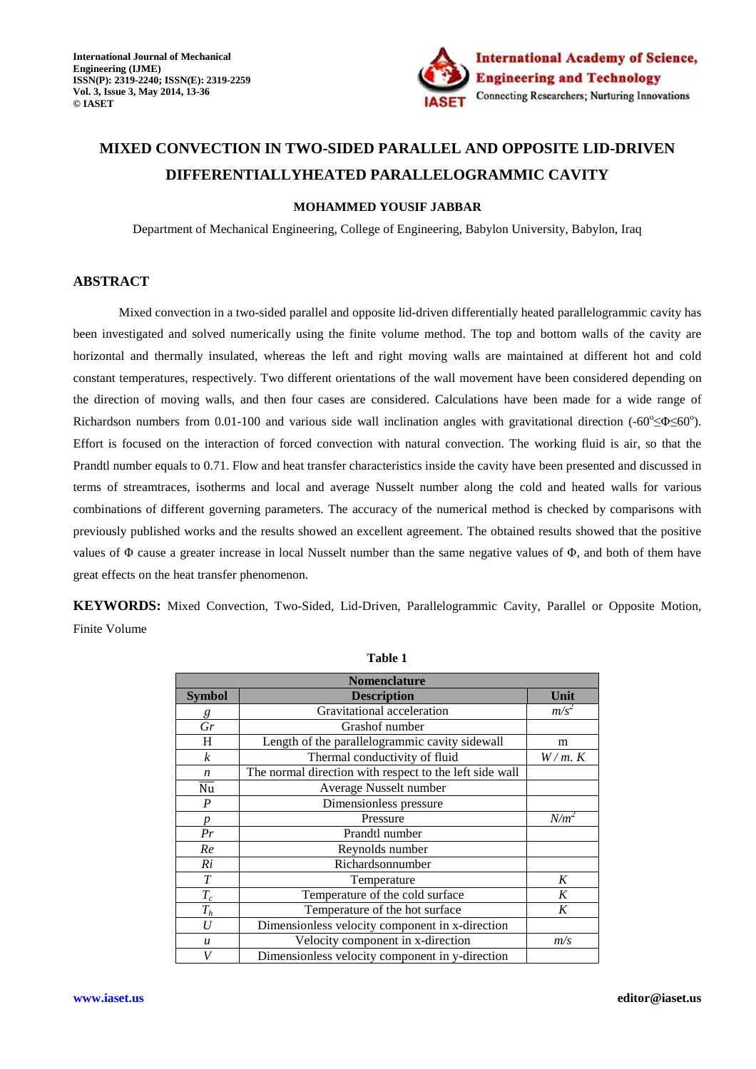

# **MIXED CONVECTION IN TWO-SIDED PARALLEL AND OPPOSITE LID-DRIVEN DIFFERENTIALLYHEATED PARALLELOGRAMMIC CAVITY**

## **MOHAMMED YOUSIF JABBAR**

Department of Mechanical Engineering, College of Engineering, Babylon University, Babylon, Iraq

## **ABSTRACT**

 Mixed convection in a two-sided parallel and opposite lid-driven differentially heated parallelogrammic cavity has been investigated and solved numerically using the finite volume method. The top and bottom walls of the cavity are horizontal and thermally insulated, whereas the left and right moving walls are maintained at different hot and cold constant temperatures, respectively. Two different orientations of the wall movement have been considered depending on the direction of moving walls, and then four cases are considered. Calculations have been made for a wide range of Richardson numbers from 0.01-100 and various side wall inclination angles with gravitational direction  $(-60^{\circ} \le \Phi \le 60^{\circ})$ . Effort is focused on the interaction of forced convection with natural convection. The working fluid is air, so that the Prandtl number equals to 0.71. Flow and heat transfer characteristics inside the cavity have been presented and discussed in terms of streamtraces, isotherms and local and average Nusselt number along the cold and heated walls for various combinations of different governing parameters. The accuracy of the numerical method is checked by comparisons with previously published works and the results showed an excellent agreement. The obtained results showed that the positive values of Φ cause a greater increase in local Nusselt number than the same negative values of Φ, and both of them have great effects on the heat transfer phenomenon.

**KEYWORDS:** Mixed Convection, Two-Sided, Lid-Driven, Parallelogrammic Cavity, Parallel or Opposite Motion, Finite Volume

| <b>Nomenclature</b>        |                                                         |             |  |  |  |  |
|----------------------------|---------------------------------------------------------|-------------|--|--|--|--|
| <b>Symbol</b>              | Unit                                                    |             |  |  |  |  |
| g                          | Gravitational acceleration                              |             |  |  |  |  |
| $\overline{Gr}$            | Grashof number                                          |             |  |  |  |  |
| H                          | Length of the parallelogrammic cavity sidewall          | m           |  |  |  |  |
| $\boldsymbol{k}$           | Thermal conductivity of fluid                           | $W/m$ . $K$ |  |  |  |  |
| $\boldsymbol{n}$           | The normal direction with respect to the left side wall |             |  |  |  |  |
| $\overline{\overline{Nu}}$ | Average Nusselt number                                  |             |  |  |  |  |
| $\boldsymbol{P}$           | Dimensionless pressure                                  |             |  |  |  |  |
| p                          | Pressure                                                | $N/m^2$     |  |  |  |  |
| Pr                         | Prandtl number                                          |             |  |  |  |  |
| Re                         | Reynolds number                                         |             |  |  |  |  |
| Ri                         | Richardsonnumber                                        |             |  |  |  |  |
| $\boldsymbol{T}$           | Temperature                                             | K           |  |  |  |  |
| $T_c$                      | Temperature of the cold surface                         | K           |  |  |  |  |
| $T_h$                      | Temperature of the hot surface                          | K           |  |  |  |  |
| U                          | Dimensionless velocity component in x-direction         |             |  |  |  |  |
| $\boldsymbol{u}$           | Velocity component in x-direction                       | m/s         |  |  |  |  |
| V                          | Dimensionless velocity component in y-direction         |             |  |  |  |  |

**Table 1**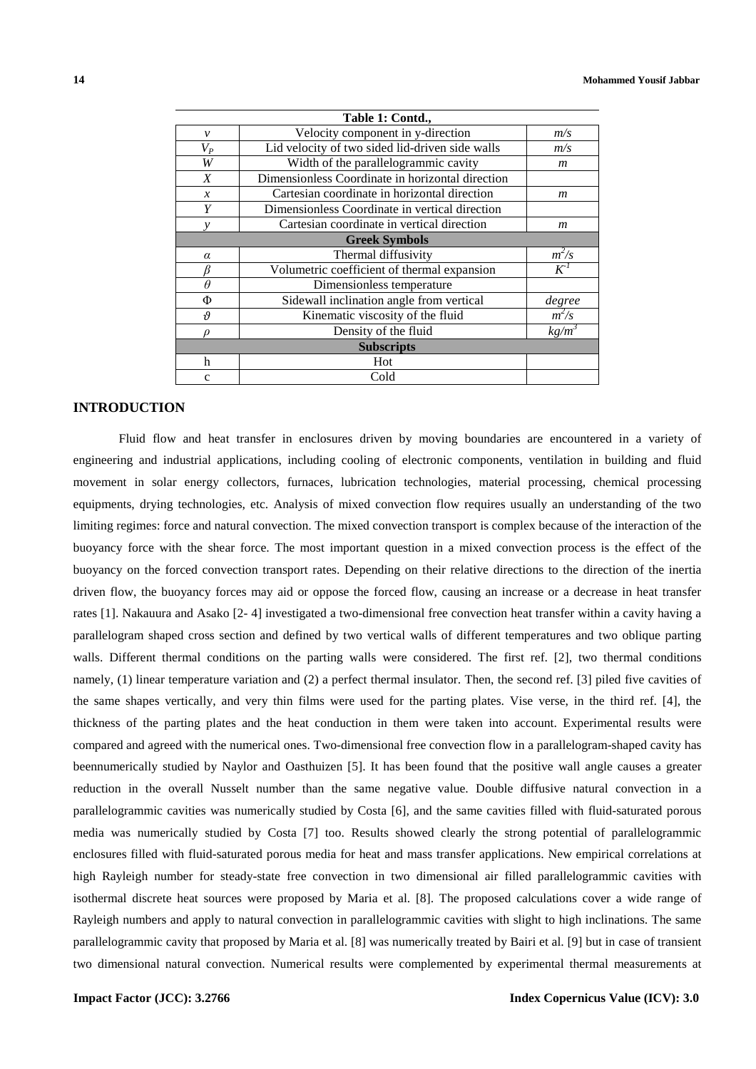|                          | Table 1: Contd.,                                 |                  |  |  |  |  |  |
|--------------------------|--------------------------------------------------|------------------|--|--|--|--|--|
| $\mathcal{V}$            | Velocity component in y-direction                | m/s              |  |  |  |  |  |
| $V_P$                    | Lid velocity of two sided lid-driven side walls  |                  |  |  |  |  |  |
| W                        | Width of the parallelogrammic cavity             |                  |  |  |  |  |  |
| $\boldsymbol{X}$         | Dimensionless Coordinate in horizontal direction |                  |  |  |  |  |  |
| $\mathcal{X}$            | Cartesian coordinate in horizontal direction     | $\boldsymbol{m}$ |  |  |  |  |  |
| Y                        | Dimensionless Coordinate in vertical direction   |                  |  |  |  |  |  |
|                          | Cartesian coordinate in vertical direction       | $\boldsymbol{m}$ |  |  |  |  |  |
| <b>Greek Symbols</b>     |                                                  |                  |  |  |  |  |  |
| $\alpha$                 | Thermal diffusivity                              | $m^2/s$          |  |  |  |  |  |
|                          | Volumetric coefficient of thermal expansion      | $K^I$            |  |  |  |  |  |
| $\theta$                 | Dimensionless temperature                        |                  |  |  |  |  |  |
| Φ                        | Sidewall inclination angle from vertical         | degree           |  |  |  |  |  |
| $\boldsymbol{\vartheta}$ | Kinematic viscosity of the fluid                 | $m^2/s$          |  |  |  |  |  |
|                          | Density of the fluid                             | $kg/m^3$         |  |  |  |  |  |
| <b>Subscripts</b>        |                                                  |                  |  |  |  |  |  |
| h                        | Hot                                              |                  |  |  |  |  |  |
| $\mathbf{C}$             | Cold                                             |                  |  |  |  |  |  |

## **INTRODUCTION**

 Fluid flow and heat transfer in enclosures driven by moving boundaries are encountered in a variety of engineering and industrial applications, including cooling of electronic components, ventilation in building and fluid movement in solar energy collectors, furnaces, lubrication technologies, material processing, chemical processing equipments, drying technologies, etc. Analysis of mixed convection flow requires usually an understanding of the two limiting regimes: force and natural convection. The mixed convection transport is complex because of the interaction of the buoyancy force with the shear force. The most important question in a mixed convection process is the effect of the buoyancy on the forced convection transport rates. Depending on their relative directions to the direction of the inertia driven flow, the buoyancy forces may aid or oppose the forced flow, causing an increase or a decrease in heat transfer rates [1]. Nakauura and Asako [2- 4] investigated a two-dimensional free convection heat transfer within a cavity having a parallelogram shaped cross section and defined by two vertical walls of different temperatures and two oblique parting walls. Different thermal conditions on the parting walls were considered. The first ref. [2], two thermal conditions namely, (1) linear temperature variation and (2) a perfect thermal insulator. Then, the second ref. [3] piled five cavities of the same shapes vertically, and very thin films were used for the parting plates. Vise verse, in the third ref. [4], the thickness of the parting plates and the heat conduction in them were taken into account. Experimental results were compared and agreed with the numerical ones. Two-dimensional free convection flow in a parallelogram-shaped cavity has beennumerically studied by Naylor and Oasthuizen [5]. It has been found that the positive wall angle causes a greater reduction in the overall Nusselt number than the same negative value. Double diffusive natural convection in a parallelogrammic cavities was numerically studied by Costa [6], and the same cavities filled with fluid-saturated porous media was numerically studied by Costa [7] too. Results showed clearly the strong potential of parallelogrammic enclosures filled with fluid-saturated porous media for heat and mass transfer applications. New empirical correlations at high Rayleigh number for steady-state free convection in two dimensional air filled parallelogrammic cavities with isothermal discrete heat sources were proposed by Maria et al. [8]. The proposed calculations cover a wide range of Rayleigh numbers and apply to natural convection in parallelogrammic cavities with slight to high inclinations. The same parallelogrammic cavity that proposed by Maria et al. [8] was numerically treated by Bairi et al. [9] but in case of transient two dimensional natural convection. Numerical results were complemented by experimental thermal measurements at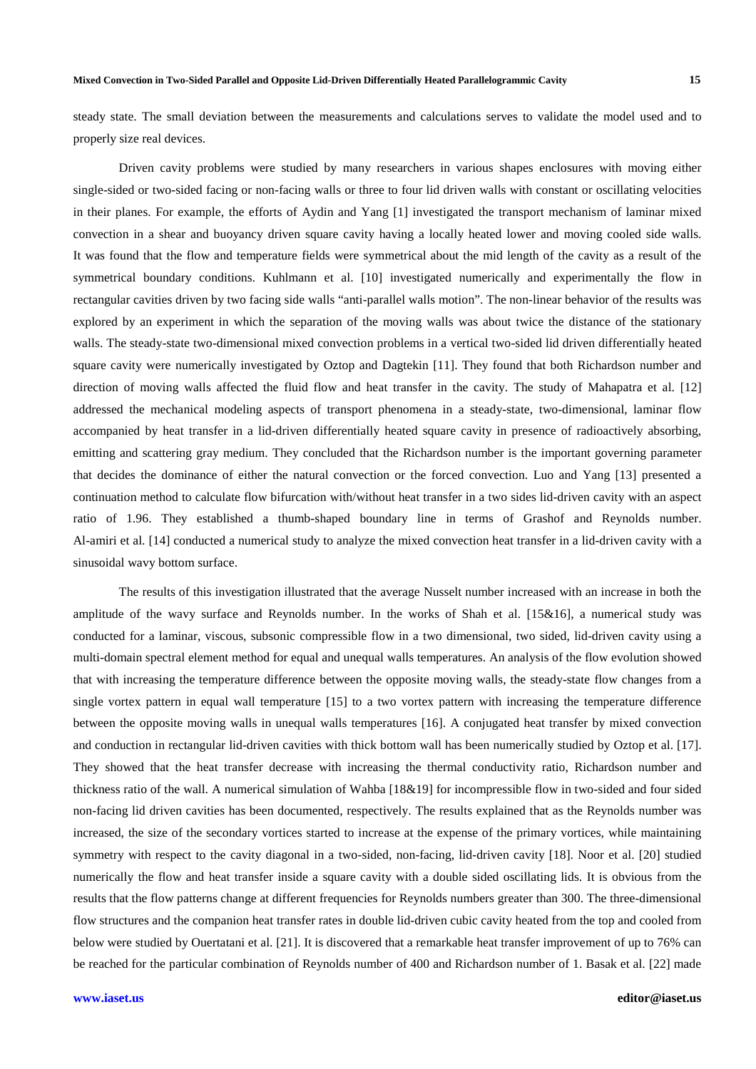steady state. The small deviation between the measurements and calculations serves to validate the model used and to properly size real devices.

 Driven cavity problems were studied by many researchers in various shapes enclosures with moving either single-sided or two-sided facing or non-facing walls or three to four lid driven walls with constant or oscillating velocities in their planes. For example, the efforts of Aydin and Yang [1] investigated the transport mechanism of laminar mixed convection in a shear and buoyancy driven square cavity having a locally heated lower and moving cooled side walls. It was found that the flow and temperature fields were symmetrical about the mid length of the cavity as a result of the symmetrical boundary conditions. Kuhlmann et al. [10] investigated numerically and experimentally the flow in rectangular cavities driven by two facing side walls "anti-parallel walls motion". The non-linear behavior of the results was explored by an experiment in which the separation of the moving walls was about twice the distance of the stationary walls. The steady-state two-dimensional mixed convection problems in a vertical two-sided lid driven differentially heated square cavity were numerically investigated by Oztop and Dagtekin [11]. They found that both Richardson number and direction of moving walls affected the fluid flow and heat transfer in the cavity. The study of Mahapatra et al. [12] addressed the mechanical modeling aspects of transport phenomena in a steady-state, two-dimensional, laminar flow accompanied by heat transfer in a lid-driven differentially heated square cavity in presence of radioactively absorbing, emitting and scattering gray medium. They concluded that the Richardson number is the important governing parameter that decides the dominance of either the natural convection or the forced convection. Luo and Yang [13] presented a continuation method to calculate flow bifurcation with/without heat transfer in a two sides lid-driven cavity with an aspect ratio of 1.96. They established a thumb-shaped boundary line in terms of Grashof and Reynolds number. Al-amiri et al. [14] conducted a numerical study to analyze the mixed convection heat transfer in a lid-driven cavity with a sinusoidal wavy bottom surface.

The results of this investigation illustrated that the average Nusselt number increased with an increase in both the amplitude of the wavy surface and Reynolds number. In the works of Shah et al. [15&16], a numerical study was conducted for a laminar, viscous, subsonic compressible flow in a two dimensional, two sided, lid-driven cavity using a multi-domain spectral element method for equal and unequal walls temperatures. An analysis of the flow evolution showed that with increasing the temperature difference between the opposite moving walls, the steady-state flow changes from a single vortex pattern in equal wall temperature [15] to a two vortex pattern with increasing the temperature difference between the opposite moving walls in unequal walls temperatures [16]. A conjugated heat transfer by mixed convection and conduction in rectangular lid-driven cavities with thick bottom wall has been numerically studied by Oztop et al. [17]. They showed that the heat transfer decrease with increasing the thermal conductivity ratio, Richardson number and thickness ratio of the wall. A numerical simulation of Wahba [18&19] for incompressible flow in two-sided and four sided non-facing lid driven cavities has been documented, respectively. The results explained that as the Reynolds number was increased, the size of the secondary vortices started to increase at the expense of the primary vortices, while maintaining symmetry with respect to the cavity diagonal in a two-sided, non-facing, lid-driven cavity [18]. Noor et al. [20] studied numerically the flow and heat transfer inside a square cavity with a double sided oscillating lids. It is obvious from the results that the flow patterns change at different frequencies for Reynolds numbers greater than 300. The three-dimensional flow structures and the companion heat transfer rates in double lid-driven cubic cavity heated from the top and cooled from below were studied by Ouertatani et al. [21]. It is discovered that a remarkable heat transfer improvement of up to 76% can be reached for the particular combination of Reynolds number of 400 and Richardson number of 1. Basak et al. [22] made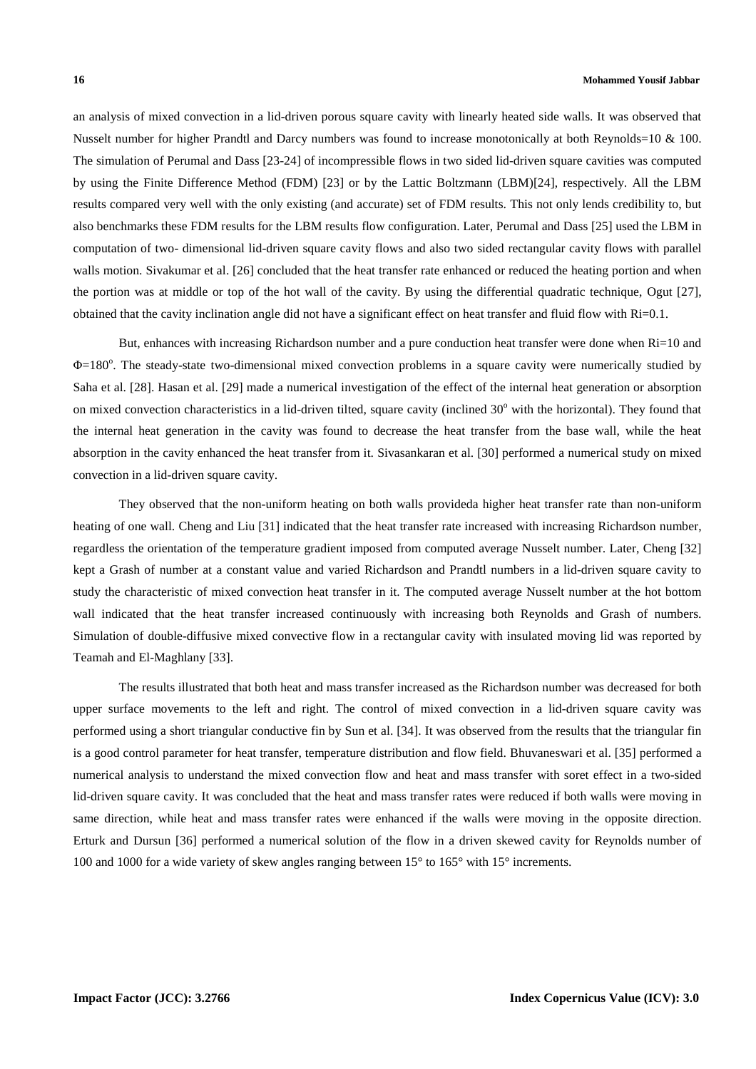an analysis of mixed convection in a lid-driven porous square cavity with linearly heated side walls. It was observed that Nusselt number for higher Prandtl and Darcy numbers was found to increase monotonically at both Reynolds=10 & 100. The simulation of Perumal and Dass [23-24] of incompressible flows in two sided lid-driven square cavities was computed by using the Finite Difference Method (FDM) [23] or by the Lattic Boltzmann (LBM)[24], respectively. All the LBM results compared very well with the only existing (and accurate) set of FDM results. This not only lends credibility to, but also benchmarks these FDM results for the LBM results flow configuration. Later, Perumal and Dass [25] used the LBM in computation of two- dimensional lid-driven square cavity flows and also two sided rectangular cavity flows with parallel walls motion. Sivakumar et al. [26] concluded that the heat transfer rate enhanced or reduced the heating portion and when the portion was at middle or top of the hot wall of the cavity. By using the differential quadratic technique, Ogut [27], obtained that the cavity inclination angle did not have a significant effect on heat transfer and fluid flow with Ri=0.1.

But, enhances with increasing Richardson number and a pure conduction heat transfer were done when Ri=10 and Φ=180°. The steady-state two-dimensional mixed convection problems in a square cavity were numerically studied by Saha et al. [28]. Hasan et al. [29] made a numerical investigation of the effect of the internal heat generation or absorption on mixed convection characteristics in a lid-driven tilted, square cavity (inclined 30° with the horizontal). They found that the internal heat generation in the cavity was found to decrease the heat transfer from the base wall, while the heat absorption in the cavity enhanced the heat transfer from it. Sivasankaran et al. [30] performed a numerical study on mixed convection in a lid-driven square cavity.

They observed that the non-uniform heating on both walls provideda higher heat transfer rate than non-uniform heating of one wall. Cheng and Liu [31] indicated that the heat transfer rate increased with increasing Richardson number, regardless the orientation of the temperature gradient imposed from computed average Nusselt number. Later, Cheng [32] kept a Grash of number at a constant value and varied Richardson and Prandtl numbers in a lid-driven square cavity to study the characteristic of mixed convection heat transfer in it. The computed average Nusselt number at the hot bottom wall indicated that the heat transfer increased continuously with increasing both Reynolds and Grash of numbers. Simulation of double-diffusive mixed convective flow in a rectangular cavity with insulated moving lid was reported by Teamah and El-Maghlany [33].

The results illustrated that both heat and mass transfer increased as the Richardson number was decreased for both upper surface movements to the left and right. The control of mixed convection in a lid-driven square cavity was performed using a short triangular conductive fin by Sun et al. [34]. It was observed from the results that the triangular fin is a good control parameter for heat transfer, temperature distribution and flow field. Bhuvaneswari et al. [35] performed a numerical analysis to understand the mixed convection flow and heat and mass transfer with soret effect in a two-sided lid-driven square cavity. It was concluded that the heat and mass transfer rates were reduced if both walls were moving in same direction, while heat and mass transfer rates were enhanced if the walls were moving in the opposite direction. Erturk and Dursun [36] performed a numerical solution of the flow in a driven skewed cavity for Reynolds number of 100 and 1000 for a wide variety of skew angles ranging between 15° to 165° with 15° increments.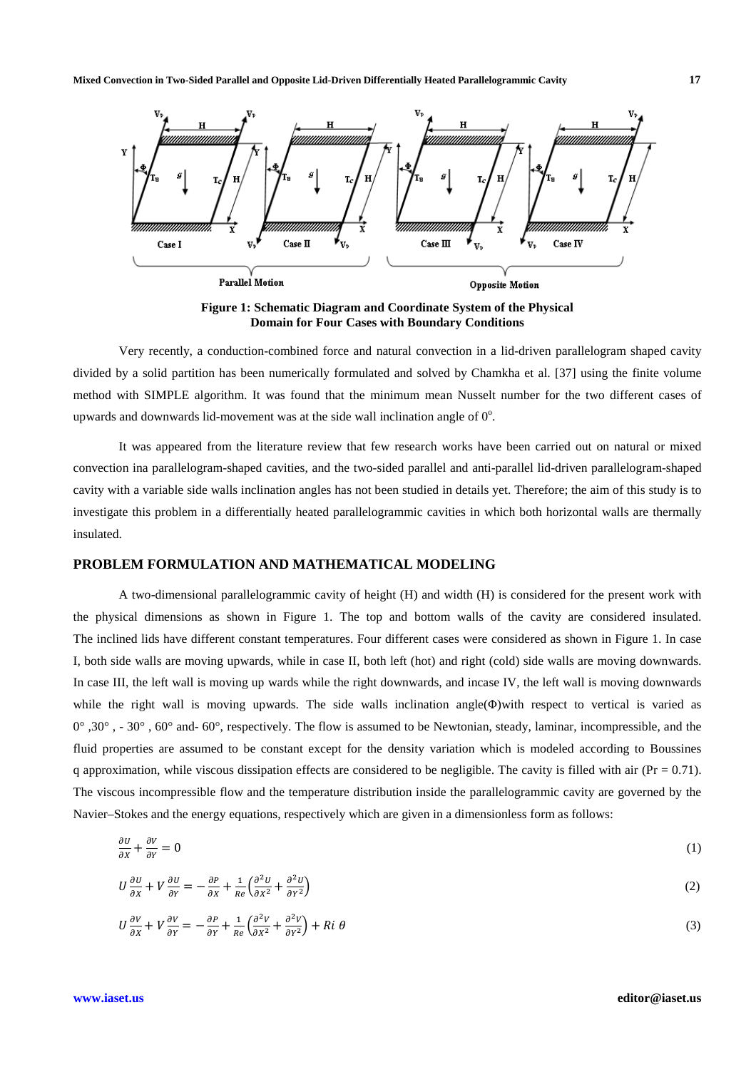

**Figure 1: Schematic Diagram and Coordinate System of the Physical Domain for Four Cases with Boundary Conditions** 

 Very recently, a conduction-combined force and natural convection in a lid-driven parallelogram shaped cavity divided by a solid partition has been numerically formulated and solved by Chamkha et al. [37] using the finite volume method with SIMPLE algorithm. It was found that the minimum mean Nusselt number for the two different cases of upwards and downwards lid-movement was at the side wall inclination angle of  $0^\circ$ .

 It was appeared from the literature review that few research works have been carried out on natural or mixed convection ina parallelogram-shaped cavities, and the two-sided parallel and anti-parallel lid-driven parallelogram-shaped cavity with a variable side walls inclination angles has not been studied in details yet. Therefore; the aim of this study is to investigate this problem in a differentially heated parallelogrammic cavities in which both horizontal walls are thermally insulated.

# **PROBLEM FORMULATION AND MATHEMATICAL MODELING**

 A two-dimensional parallelogrammic cavity of height (H) and width (H) is considered for the present work with the physical dimensions as shown in Figure 1. The top and bottom walls of the cavity are considered insulated. The inclined lids have different constant temperatures. Four different cases were considered as shown in Figure 1. In case I, both side walls are moving upwards, while in case II, both left (hot) and right (cold) side walls are moving downwards. In case III, the left wall is moving up wards while the right downwards, and incase IV, the left wall is moving downwards while the right wall is moving upwards. The side walls inclination angle(Φ)with respect to vertical is varied as  $0^\circ$ , 30 $^\circ$ ,  $-30^\circ$ , 60 $^\circ$  and-60 $^\circ$ , respectively. The flow is assumed to be Newtonian, steady, laminar, incompressible, and the fluid properties are assumed to be constant except for the density variation which is modeled according to Boussines q approximation, while viscous dissipation effects are considered to be negligible. The cavity is filled with air ( $Pr = 0.71$ ). The viscous incompressible flow and the temperature distribution inside the parallelogrammic cavity are governed by the Navier–Stokes and the energy equations, respectively which are given in a dimensionless form as follows:

$$
\frac{\partial v}{\partial x} + \frac{\partial v}{\partial y} = 0\tag{1}
$$

$$
U\frac{\partial U}{\partial x} + V\frac{\partial U}{\partial y} = -\frac{\partial P}{\partial x} + \frac{1}{Re}\left(\frac{\partial^2 U}{\partial x^2} + \frac{\partial^2 U}{\partial y^2}\right) \tag{2}
$$

$$
U\frac{\partial V}{\partial x} + V\frac{\partial V}{\partial y} = -\frac{\partial P}{\partial y} + \frac{1}{Re}\left(\frac{\partial^2 V}{\partial x^2} + \frac{\partial^2 V}{\partial y^2}\right) + Ri\ \theta\tag{3}
$$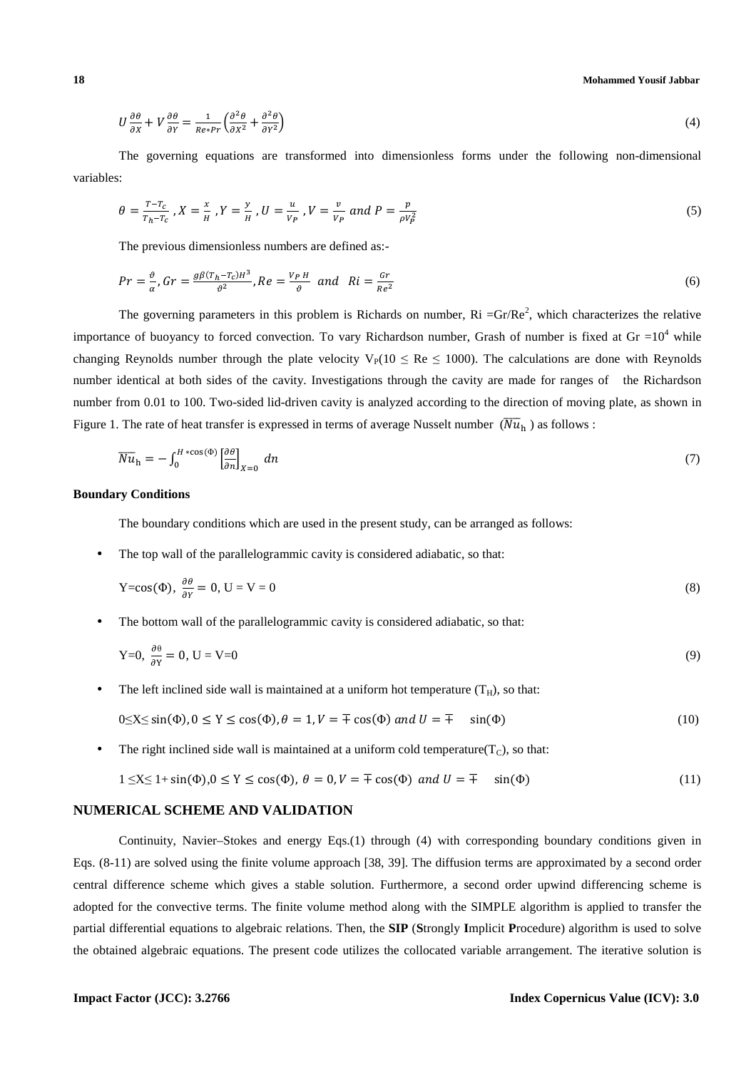## **18 Mohammed Yousif Jabbar**

$$
U\frac{\partial\theta}{\partial x} + V\frac{\partial\theta}{\partial y} = \frac{1}{Re*Pr} \left(\frac{\partial^2\theta}{\partial x^2} + \frac{\partial^2\theta}{\partial y^2}\right)
$$
(4)

 The governing equations are transformed into dimensionless forms under the following non-dimensional variables:

$$
\theta = \frac{T - T_c}{T_h - T_c}, X = \frac{x}{H}, Y = \frac{y}{H}, U = \frac{u}{V_P}, V = \frac{v}{V_P} \text{ and } P = \frac{p}{\rho V_P^2}
$$
\n(5)

The previous dimensionless numbers are defined as:-

$$
Pr = \frac{\vartheta}{\alpha}, Gr = \frac{g\beta(T_h - T_c)H^3}{\vartheta^2}, Re = \frac{V_P H}{\vartheta} \quad and \quad Ri = \frac{Gr}{Re^2}
$$
 (6)

The governing parameters in this problem is Richards on number,  $\text{Ri} = \text{Gr}/\text{Re}^2$ , which characterizes the relative importance of buoyancy to forced convection. To vary Richardson number, Grash of number is fixed at Gr  $=10^4$  while changing Reynolds number through the plate velocity  $V_P(10 \le Re \le 1000)$ . The calculations are done with Reynolds number identical at both sides of the cavity. Investigations through the cavity are made for ranges of the Richardson number from 0.01 to 100. Two-sided lid-driven cavity is analyzed according to the direction of moving plate, as shown in Figure 1. The rate of heat transfer is expressed in terms of average Nusselt number  $(\overline{Nu}_{h})$  as follows :

$$
\overline{Nu}_{\mathbf{h}} = -\int_0^{H \cdot \cos(\Phi)} \left[\frac{\partial \theta}{\partial n}\right]_{X=0} dn
$$
\n(7)

### **Boundary Conditions**

The boundary conditions which are used in the present study, can be arranged as follows:

The top wall of the parallelogrammic cavity is considered adiabatic, so that:

$$
Y = cos(\Phi), \frac{\partial \theta}{\partial Y} = 0, U = V = 0
$$
\n(8)

• The bottom wall of the parallelogrammic cavity is considered adiabatic, so that:

$$
Y=0, \frac{\partial \theta}{\partial Y} = 0, U = V=0 \tag{9}
$$

The left inclined side wall is maintained at a uniform hot temperature  $(T_H)$ , so that:

$$
0 \le X \le \sin(\Phi), 0 \le Y \le \cos(\Phi), \theta = 1, V = \pm \cos(\Phi) \text{ and } U = \pm \sin(\Phi) \tag{10}
$$

The right inclined side wall is maintained at a uniform cold temperature( $T<sub>C</sub>$ ), so that:

$$
1 \le X \le 1 + \sin(\Phi), 0 \le Y \le \cos(\Phi), \ \theta = 0, V = \pm \cos(\Phi) \ \text{and} \ U = \pm \sin(\Phi) \tag{11}
$$

### **NUMERICAL SCHEME AND VALIDATION**

 Continuity, Navier–Stokes and energy Eqs.(1) through (4) with corresponding boundary conditions given in Eqs. (8-11) are solved using the finite volume approach [38, 39]. The diffusion terms are approximated by a second order central difference scheme which gives a stable solution. Furthermore, a second order upwind differencing scheme is adopted for the convective terms. The finite volume method along with the SIMPLE algorithm is applied to transfer the partial differential equations to algebraic relations. Then, the **SIP** (**S**trongly **I**mplicit **P**rocedure) algorithm is used to solve the obtained algebraic equations. The present code utilizes the collocated variable arrangement. The iterative solution is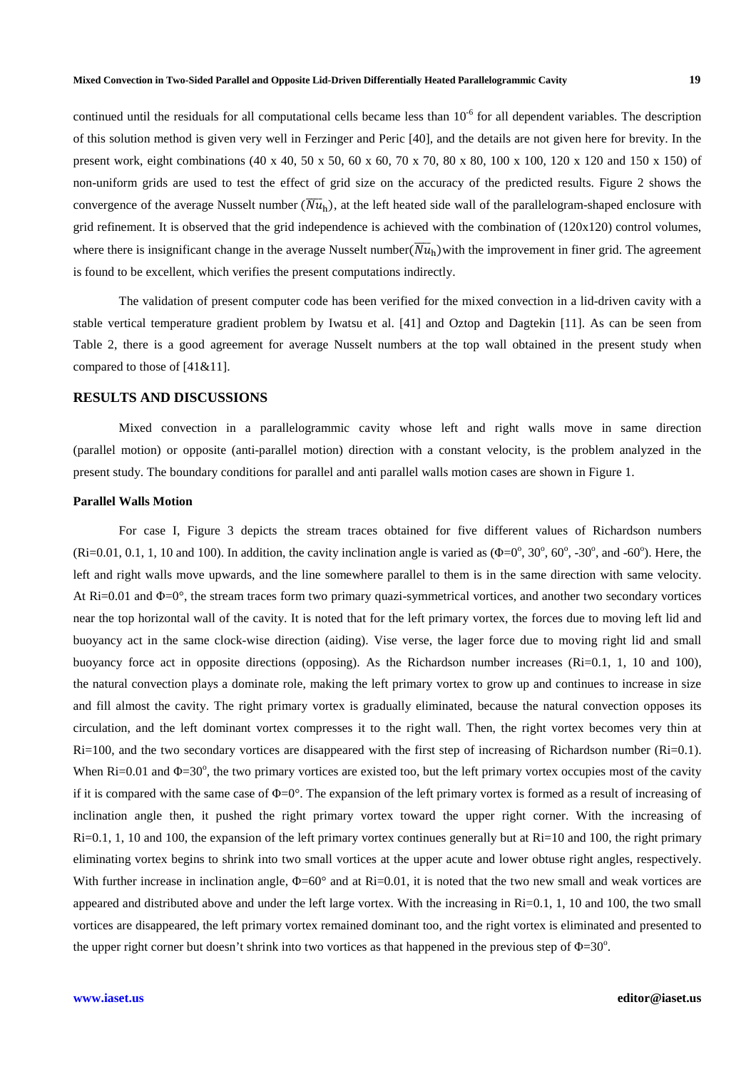continued until the residuals for all computational cells became less than  $10^{-6}$  for all dependent variables. The description of this solution method is given very well in Ferzinger and Peric [40], and the details are not given here for brevity. In the present work, eight combinations (40 x 40, 50 x 50, 60 x 60, 70 x 70, 80 x 80, 100 x 100, 120 x 120 and 150 x 150) of non-uniform grids are used to test the effect of grid size on the accuracy of the predicted results. Figure 2 shows the convergence of the average Nusselt number  $(\overline{Nu}_{h})$ , at the left heated side wall of the parallelogram-shaped enclosure with grid refinement. It is observed that the grid independence is achieved with the combination of (120x120) control volumes, where there is insignificant change in the average Nusselt number $(\overline{Nu}_h)$  with the improvement in finer grid. The agreement is found to be excellent, which verifies the present computations indirectly.

 The validation of present computer code has been verified for the mixed convection in a lid-driven cavity with a stable vertical temperature gradient problem by Iwatsu et al. [41] and Oztop and Dagtekin [11]. As can be seen from Table 2, there is a good agreement for average Nusselt numbers at the top wall obtained in the present study when compared to those of [41&11].

# **RESULTS AND DISCUSSIONS**

 Mixed convection in a parallelogrammic cavity whose left and right walls move in same direction (parallel motion) or opposite (anti-parallel motion) direction with a constant velocity, is the problem analyzed in the present study. The boundary conditions for parallel and anti parallel walls motion cases are shown in Figure 1.

#### **Parallel Walls Motion**

 For case I, Figure 3 depicts the stream traces obtained for five different values of Richardson numbers (Ri=0.01, 0.1, 1, 10 and 100). In addition, the cavity inclination angle is varied as  $(\Phi = 0^{\circ}, 30^{\circ}, 60^{\circ}, -30^{\circ},$  and -60°). Here, the left and right walls move upwards, and the line somewhere parallel to them is in the same direction with same velocity. At  $Ri=0.01$  and  $\Phi=0^{\circ}$ , the stream traces form two primary quazi-symmetrical vortices, and another two secondary vortices near the top horizontal wall of the cavity. It is noted that for the left primary vortex, the forces due to moving left lid and buoyancy act in the same clock-wise direction (aiding). Vise verse, the lager force due to moving right lid and small buoyancy force act in opposite directions (opposing). As the Richardson number increases  $(Ri=0.1, 1, 10, n=100)$ , the natural convection plays a dominate role, making the left primary vortex to grow up and continues to increase in size and fill almost the cavity. The right primary vortex is gradually eliminated, because the natural convection opposes its circulation, and the left dominant vortex compresses it to the right wall. Then, the right vortex becomes very thin at  $Ri=100$ , and the two secondary vortices are disappeared with the first step of increasing of Richardson number ( $Ri=0.1$ ). When  $\text{Ri}=0.01$  and  $\Phi=30^\circ$ , the two primary vortices are existed too, but the left primary vortex occupies most of the cavity if it is compared with the same case of  $\Phi=0^\circ$ . The expansion of the left primary vortex is formed as a result of increasing of inclination angle then, it pushed the right primary vortex toward the upper right corner. With the increasing of  $Ri=0.1$ , 1, 10 and 100, the expansion of the left primary vortex continues generally but at  $Ri=10$  and 100, the right primary eliminating vortex begins to shrink into two small vortices at the upper acute and lower obtuse right angles, respectively. With further increase in inclination angle,  $\Phi = 60^\circ$  and at Ri=0.01, it is noted that the two new small and weak vortices are appeared and distributed above and under the left large vortex. With the increasing in Ri=0.1, 1, 10 and 100, the two small vortices are disappeared, the left primary vortex remained dominant too, and the right vortex is eliminated and presented to the upper right corner but doesn't shrink into two vortices as that happened in the previous step of  $\Phi = 30^\circ$ .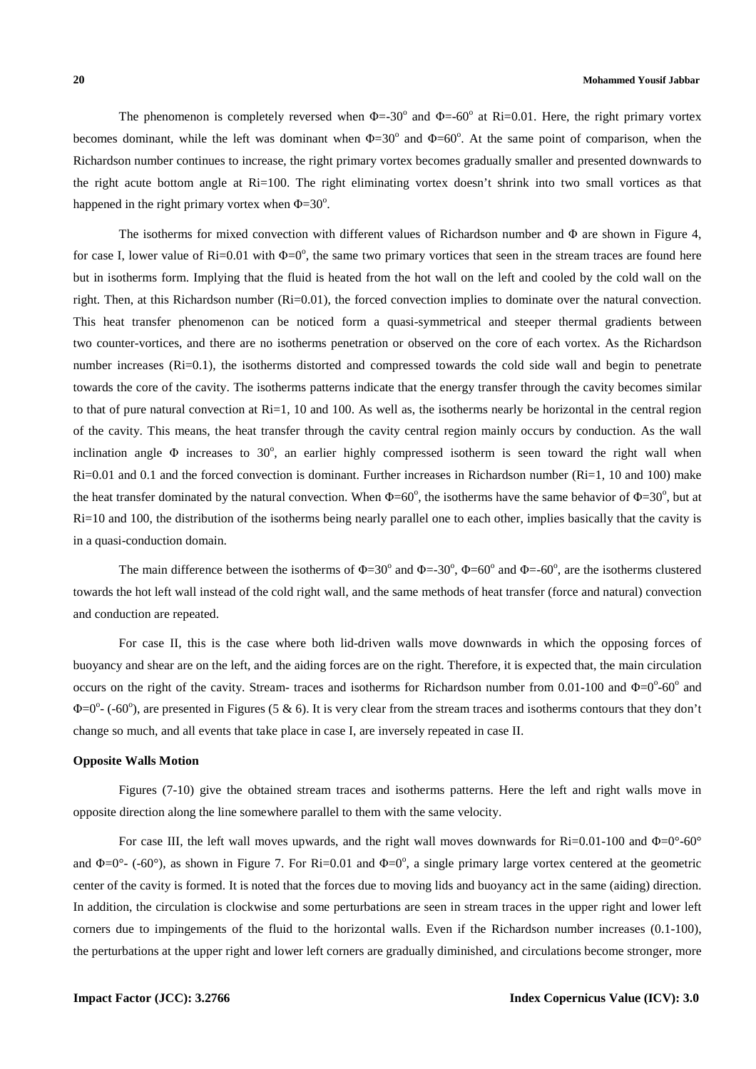The phenomenon is completely reversed when  $\Phi = -30^{\circ}$  and  $\Phi = -60^{\circ}$  at Ri=0.01. Here, the right primary vortex becomes dominant, while the left was dominant when  $\Phi = 30^{\circ}$  and  $\Phi = 60^{\circ}$ . At the same point of comparison, when the Richardson number continues to increase, the right primary vortex becomes gradually smaller and presented downwards to the right acute bottom angle at Ri=100. The right eliminating vortex doesn't shrink into two small vortices as that happened in the right primary vortex when  $\Phi = 30^\circ$ .

 The isotherms for mixed convection with different values of Richardson number and Φ are shown in Figure 4, for case I, lower value of  $\text{Ri}=0.01$  with  $\Phi=0^{\circ}$ , the same two primary vortices that seen in the stream traces are found here but in isotherms form. Implying that the fluid is heated from the hot wall on the left and cooled by the cold wall on the right. Then, at this Richardson number (Ri=0.01), the forced convection implies to dominate over the natural convection. This heat transfer phenomenon can be noticed form a quasi-symmetrical and steeper thermal gradients between two counter-vortices, and there are no isotherms penetration or observed on the core of each vortex. As the Richardson number increases  $(Ri=0.1)$ , the isotherms distorted and compressed towards the cold side wall and begin to penetrate towards the core of the cavity. The isotherms patterns indicate that the energy transfer through the cavity becomes similar to that of pure natural convection at Ri=1, 10 and 100. As well as, the isotherms nearly be horizontal in the central region of the cavity. This means, the heat transfer through the cavity central region mainly occurs by conduction. As the wall inclination angle  $\Phi$  increases to 30°, an earlier highly compressed isotherm is seen toward the right wall when  $Ri=0.01$  and 0.1 and the forced convection is dominant. Further increases in Richardson number ( $Ri=1$ , 10 and 100) make the heat transfer dominated by the natural convection. When  $\Phi = 60^\circ$ , the isotherms have the same behavior of  $\Phi = 30^\circ$ , but at Ri=10 and 100, the distribution of the isotherms being nearly parallel one to each other, implies basically that the cavity is in a quasi-conduction domain.

The main difference between the isotherms of  $\Phi = 30^\circ$  and  $\Phi = -30^\circ$ ,  $\Phi = 60^\circ$  and  $\Phi = -60^\circ$ , are the isotherms clustered towards the hot left wall instead of the cold right wall, and the same methods of heat transfer (force and natural) convection and conduction are repeated.

 For case II, this is the case where both lid-driven walls move downwards in which the opposing forces of buoyancy and shear are on the left, and the aiding forces are on the right. Therefore, it is expected that, the main circulation occurs on the right of the cavity. Stream- traces and isotherms for Richardson number from 0.01-100 and  $\Phi = 0^{\circ}$ -60° and  $\Phi$ =0° - (-60°), are presented in Figures (5 & 6). It is very clear from the stream traces and isotherms contours that they don't change so much, and all events that take place in case I, are inversely repeated in case II.

### **Opposite Walls Motion**

 Figures (7-10) give the obtained stream traces and isotherms patterns. Here the left and right walls move in opposite direction along the line somewhere parallel to them with the same velocity.

For case III, the left wall moves upwards, and the right wall moves downwards for  $\text{Ri}=0.01\times100$  and  $\Phi=0^{\circ}$ -60° and  $\Phi = 0^{\circ}$ - (-60°), as shown in Figure 7. For Ri=0.01 and  $\Phi = 0^{\circ}$ , a single primary large vortex centered at the geometric center of the cavity is formed. It is noted that the forces due to moving lids and buoyancy act in the same (aiding) direction. In addition, the circulation is clockwise and some perturbations are seen in stream traces in the upper right and lower left corners due to impingements of the fluid to the horizontal walls. Even if the Richardson number increases (0.1-100), the perturbations at the upper right and lower left corners are gradually diminished, and circulations become stronger, more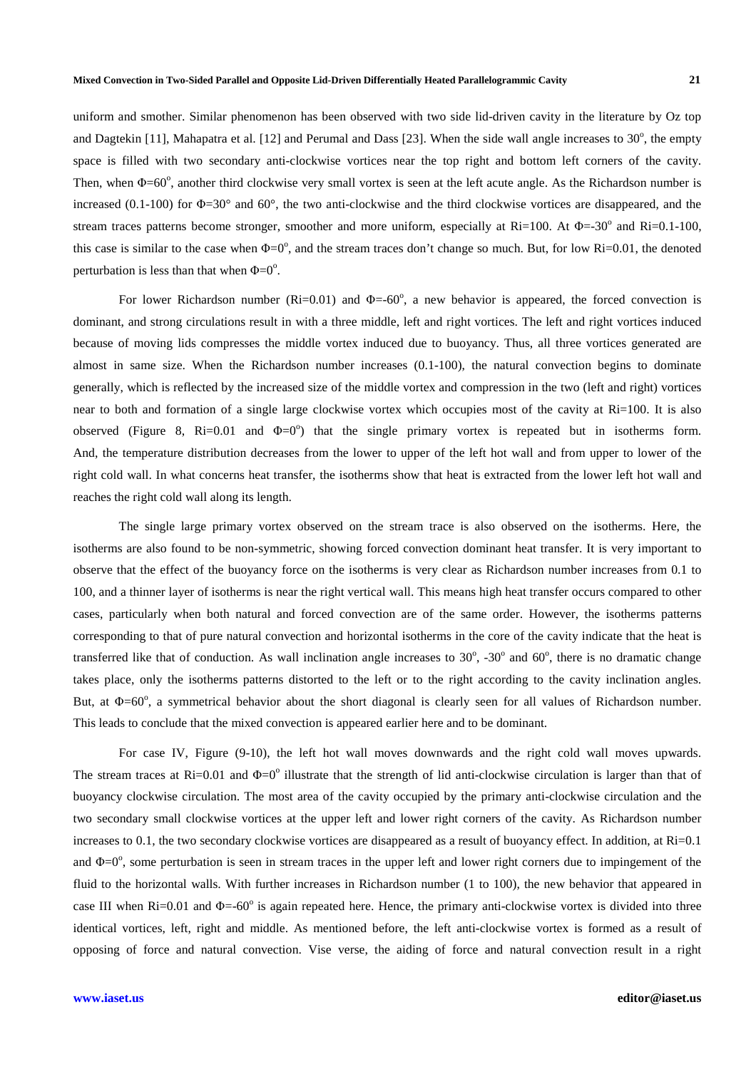uniform and smother. Similar phenomenon has been observed with two side lid-driven cavity in the literature by Oz top and Dagtekin [11], Mahapatra et al. [12] and Perumal and Dass [23]. When the side wall angle increases to  $30^{\circ}$ , the empty space is filled with two secondary anti-clockwise vortices near the top right and bottom left corners of the cavity. Then, when  $\Phi$ =60°, another third clockwise very small vortex is seen at the left acute angle. As the Richardson number is increased (0.1-100) for  $\Phi$ =30° and 60°, the two anti-clockwise and the third clockwise vortices are disappeared, and the stream traces patterns become stronger, smoother and more uniform, especially at  $Ri=100$ . At  $\Phi=30^{\circ}$  and  $Ri=0.1$ -100, this case is similar to the case when  $\Phi = 0^\circ$ , and the stream traces don't change so much. But, for low Ri=0.01, the denoted perturbation is less than that when  $\Phi = 0^\circ$ .

For lower Richardson number ( $Ri=0.01$ ) and  $\Phi=60^\circ$ , a new behavior is appeared, the forced convection is dominant, and strong circulations result in with a three middle, left and right vortices. The left and right vortices induced because of moving lids compresses the middle vortex induced due to buoyancy. Thus, all three vortices generated are almost in same size. When the Richardson number increases (0.1-100), the natural convection begins to dominate generally, which is reflected by the increased size of the middle vortex and compression in the two (left and right) vortices near to both and formation of a single large clockwise vortex which occupies most of the cavity at Ri=100. It is also observed (Figure 8, Ri=0.01 and  $\Phi = 0^\circ$ ) that the single primary vortex is repeated but in isotherms form. And, the temperature distribution decreases from the lower to upper of the left hot wall and from upper to lower of the right cold wall. In what concerns heat transfer, the isotherms show that heat is extracted from the lower left hot wall and reaches the right cold wall along its length.

 The single large primary vortex observed on the stream trace is also observed on the isotherms. Here, the isotherms are also found to be non-symmetric, showing forced convection dominant heat transfer. It is very important to observe that the effect of the buoyancy force on the isotherms is very clear as Richardson number increases from 0.1 to 100, and a thinner layer of isotherms is near the right vertical wall. This means high heat transfer occurs compared to other cases, particularly when both natural and forced convection are of the same order. However, the isotherms patterns corresponding to that of pure natural convection and horizontal isotherms in the core of the cavity indicate that the heat is transferred like that of conduction. As wall inclination angle increases to  $30^{\circ}$ ,  $-30^{\circ}$  and  $60^{\circ}$ , there is no dramatic change takes place, only the isotherms patterns distorted to the left or to the right according to the cavity inclination angles. But, at Φ=60°, a symmetrical behavior about the short diagonal is clearly seen for all values of Richardson number. This leads to conclude that the mixed convection is appeared earlier here and to be dominant.

 For case IV, Figure (9-10), the left hot wall moves downwards and the right cold wall moves upwards. The stream traces at Ri=0.01 and  $\Phi$ =0° illustrate that the strength of lid anti-clockwise circulation is larger than that of buoyancy clockwise circulation. The most area of the cavity occupied by the primary anti-clockwise circulation and the two secondary small clockwise vortices at the upper left and lower right corners of the cavity. As Richardson number increases to 0.1, the two secondary clockwise vortices are disappeared as a result of buoyancy effect. In addition, at  $\text{Ri}=0.1$ and  $\Phi = 0^\circ$ , some perturbation is seen in stream traces in the upper left and lower right corners due to impingement of the fluid to the horizontal walls. With further increases in Richardson number (1 to 100), the new behavior that appeared in case III when  $\text{Ri}=0.01$  and  $\Phi$ =-60 $^{\circ}$  is again repeated here. Hence, the primary anti-clockwise vortex is divided into three identical vortices, left, right and middle. As mentioned before, the left anti-clockwise vortex is formed as a result of opposing of force and natural convection. Vise verse, the aiding of force and natural convection result in a right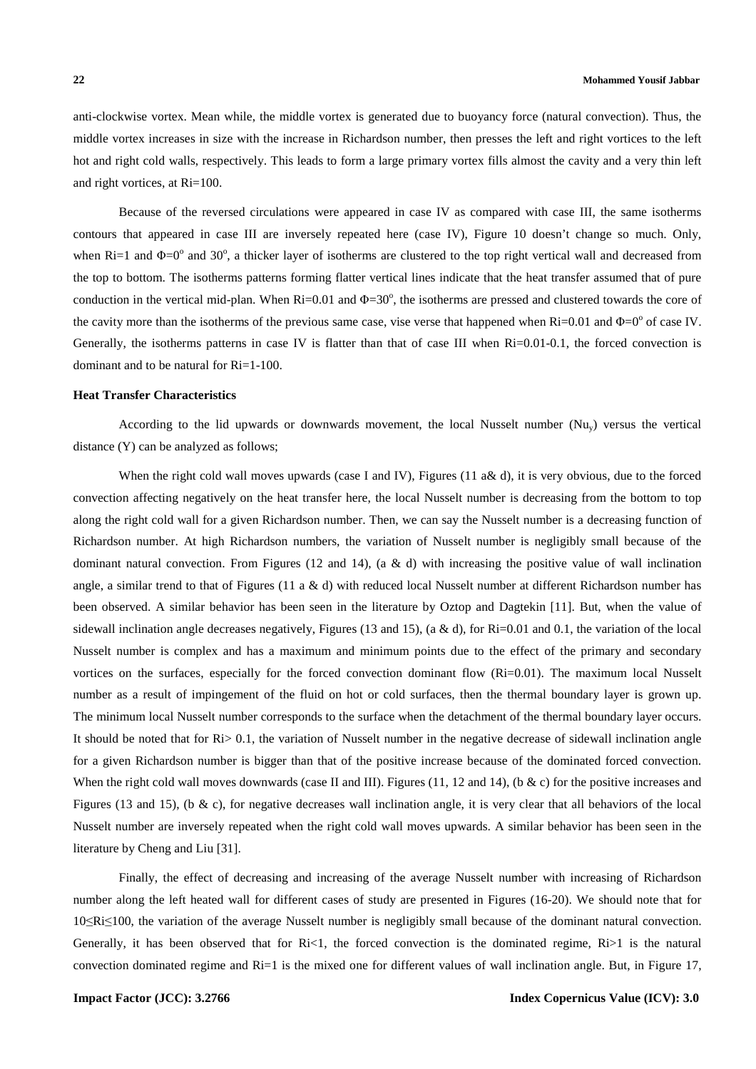anti-clockwise vortex. Mean while, the middle vortex is generated due to buoyancy force (natural convection). Thus, the middle vortex increases in size with the increase in Richardson number, then presses the left and right vortices to the left hot and right cold walls, respectively. This leads to form a large primary vortex fills almost the cavity and a very thin left and right vortices, at Ri=100.

 Because of the reversed circulations were appeared in case IV as compared with case III, the same isotherms contours that appeared in case III are inversely repeated here (case IV), Figure 10 doesn't change so much. Only, when Ri=1 and  $\Phi$ =0° and 30°, a thicker layer of isotherms are clustered to the top right vertical wall and decreased from the top to bottom. The isotherms patterns forming flatter vertical lines indicate that the heat transfer assumed that of pure conduction in the vertical mid-plan. When  $Ri=0.01$  and  $\Phi=30^\circ$ , the isotherms are pressed and clustered towards the core of the cavity more than the isotherms of the previous same case, vise verse that happened when  $\text{Ri}=0.01$  and  $\Phi=0^{\circ}$  of case IV. Generally, the isotherms patterns in case IV is flatter than that of case III when Ri=0.01-0.1, the forced convection is dominant and to be natural for Ri=1-100.

## **Heat Transfer Characteristics**

According to the lid upwards or downwards movement, the local Nusselt number  $(Nu<sub>v</sub>)$  versus the vertical distance (Y) can be analyzed as follows;

When the right cold wall moves upwards (case I and IV), Figures (11 a& d), it is very obvious, due to the forced convection affecting negatively on the heat transfer here, the local Nusselt number is decreasing from the bottom to top along the right cold wall for a given Richardson number. Then, we can say the Nusselt number is a decreasing function of Richardson number. At high Richardson numbers, the variation of Nusselt number is negligibly small because of the dominant natural convection. From Figures (12 and 14), (a & d) with increasing the positive value of wall inclination angle, a similar trend to that of Figures (11 a & d) with reduced local Nusselt number at different Richardson number has been observed. A similar behavior has been seen in the literature by Oztop and Dagtekin [11]. But, when the value of sidewall inclination angle decreases negatively, Figures (13 and 15), (a & d), for  $\text{Ri}=0.01$  and 0.1, the variation of the local Nusselt number is complex and has a maximum and minimum points due to the effect of the primary and secondary vortices on the surfaces, especially for the forced convection dominant flow (Ri=0.01). The maximum local Nusselt number as a result of impingement of the fluid on hot or cold surfaces, then the thermal boundary layer is grown up. The minimum local Nusselt number corresponds to the surface when the detachment of the thermal boundary layer occurs. It should be noted that for  $R_i > 0.1$ , the variation of Nusselt number in the negative decrease of sidewall inclination angle for a given Richardson number is bigger than that of the positive increase because of the dominated forced convection. When the right cold wall moves downwards (case II and III). Figures (11, 12 and 14), (b & c) for the positive increases and Figures (13 and 15), (b & c), for negative decreases wall inclination angle, it is very clear that all behaviors of the local Nusselt number are inversely repeated when the right cold wall moves upwards. A similar behavior has been seen in the literature by Cheng and Liu [31].

 Finally, the effect of decreasing and increasing of the average Nusselt number with increasing of Richardson number along the left heated wall for different cases of study are presented in Figures (16-20). We should note that for 10≤Ri≤100, the variation of the average Nusselt number is negligibly small because of the dominant natural convection. Generally, it has been observed that for  $Ri<1$ , the forced convection is the dominated regime,  $Ri>1$  is the natural convection dominated regime and  $Ri=1$  is the mixed one for different values of wall inclination angle. But, in Figure 17,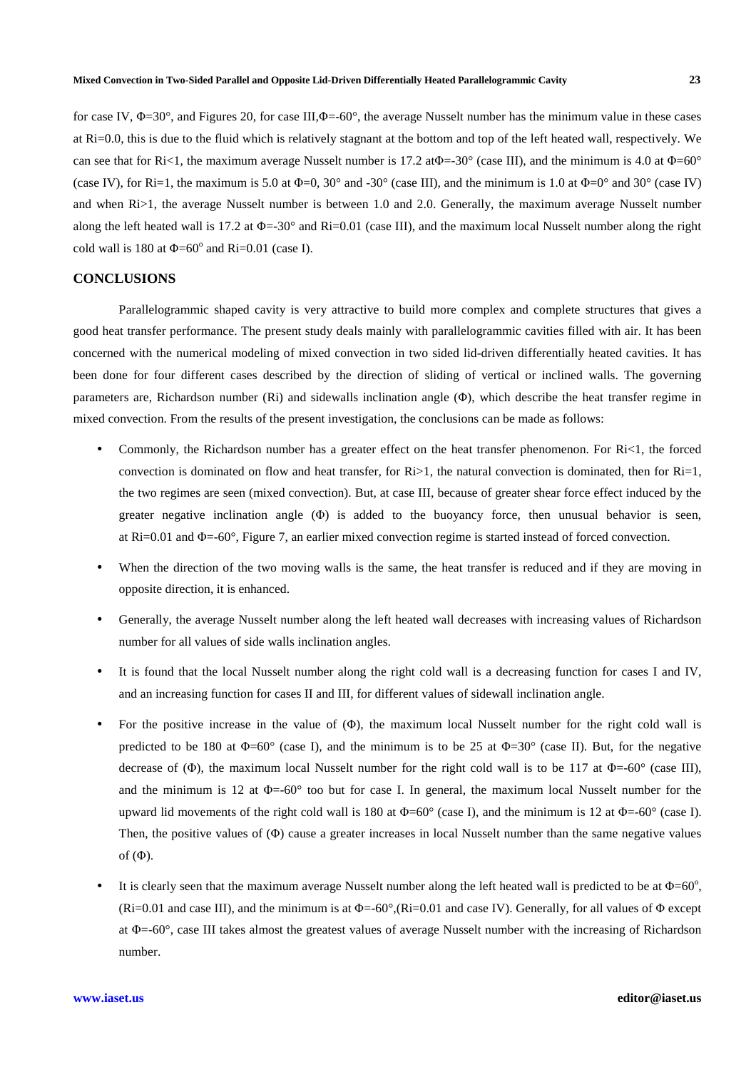for case IV,  $\Phi = 30^{\circ}$ , and Figures 20, for case III, $\Phi = -60^{\circ}$ , the average Nusselt number has the minimum value in these cases at Ri=0.0, this is due to the fluid which is relatively stagnant at the bottom and top of the left heated wall, respectively. We can see that for Ri<1, the maximum average Nusselt number is 17.2 at  $\Phi$  =-30° (case III), and the minimum is 4.0 at  $\Phi$ =60° (case IV), for Ri=1, the maximum is 5.0 at  $\Phi$ =0, 30° and -30° (case III), and the minimum is 1.0 at  $\Phi$ =0° and 30° (case IV) and when Ri>1, the average Nusselt number is between 1.0 and 2.0. Generally, the maximum average Nusselt number along the left heated wall is 17.2 at  $\Phi = -30^{\circ}$  and Ri=0.01 (case III), and the maximum local Nusselt number along the right cold wall is 180 at  $\Phi$ =60° and Ri=0.01 (case I).

## **CONCLUSIONS**

 Parallelogrammic shaped cavity is very attractive to build more complex and complete structures that gives a good heat transfer performance. The present study deals mainly with parallelogrammic cavities filled with air. It has been concerned with the numerical modeling of mixed convection in two sided lid-driven differentially heated cavities. It has been done for four different cases described by the direction of sliding of vertical or inclined walls. The governing parameters are, Richardson number (Ri) and sidewalls inclination angle (Φ), which describe the heat transfer regime in mixed convection. From the results of the present investigation, the conclusions can be made as follows:

- Commonly, the Richardson number has a greater effect on the heat transfer phenomenon. For Ri<1, the forced convection is dominated on flow and heat transfer, for  $Ri>1$ , the natural convection is dominated, then for  $Ri=1$ , the two regimes are seen (mixed convection). But, at case III, because of greater shear force effect induced by the greater negative inclination angle (Φ) is added to the buoyancy force, then unusual behavior is seen, at  $\text{Ri}=0.01$  and  $\Phi$ =-60°, Figure 7, an earlier mixed convection regime is started instead of forced convection.
- When the direction of the two moving walls is the same, the heat transfer is reduced and if they are moving in opposite direction, it is enhanced.
- Generally, the average Nusselt number along the left heated wall decreases with increasing values of Richardson number for all values of side walls inclination angles.
- It is found that the local Nusselt number along the right cold wall is a decreasing function for cases I and IV, and an increasing function for cases II and III, for different values of sidewall inclination angle.
- For the positive increase in the value of (Φ), the maximum local Nusselt number for the right cold wall is predicted to be 180 at  $\Phi$ =60° (case I), and the minimum is to be 25 at  $\Phi$ =30° (case II). But, for the negative decrease of (Φ), the maximum local Nusselt number for the right cold wall is to be 117 at  $\Phi$ =-60° (case III), and the minimum is 12 at  $\Phi$ =-60 $\degree$  too but for case I. In general, the maximum local Nusselt number for the upward lid movements of the right cold wall is 180 at  $\Phi$ =60° (case I), and the minimum is 12 at  $\Phi$ =-60° (case I). Then, the positive values of (Φ) cause a greater increases in local Nusselt number than the same negative values of  $(\Phi)$ .
- It is clearly seen that the maximum average Nusselt number along the left heated wall is predicted to be at  $\Phi$ =60°. (Ri=0.01 and case III), and the minimum is at  $\Phi$ =-60°,(Ri=0.01 and case IV). Generally, for all values of  $\Phi$  except at Φ=-60°, case III takes almost the greatest values of average Nusselt number with the increasing of Richardson number.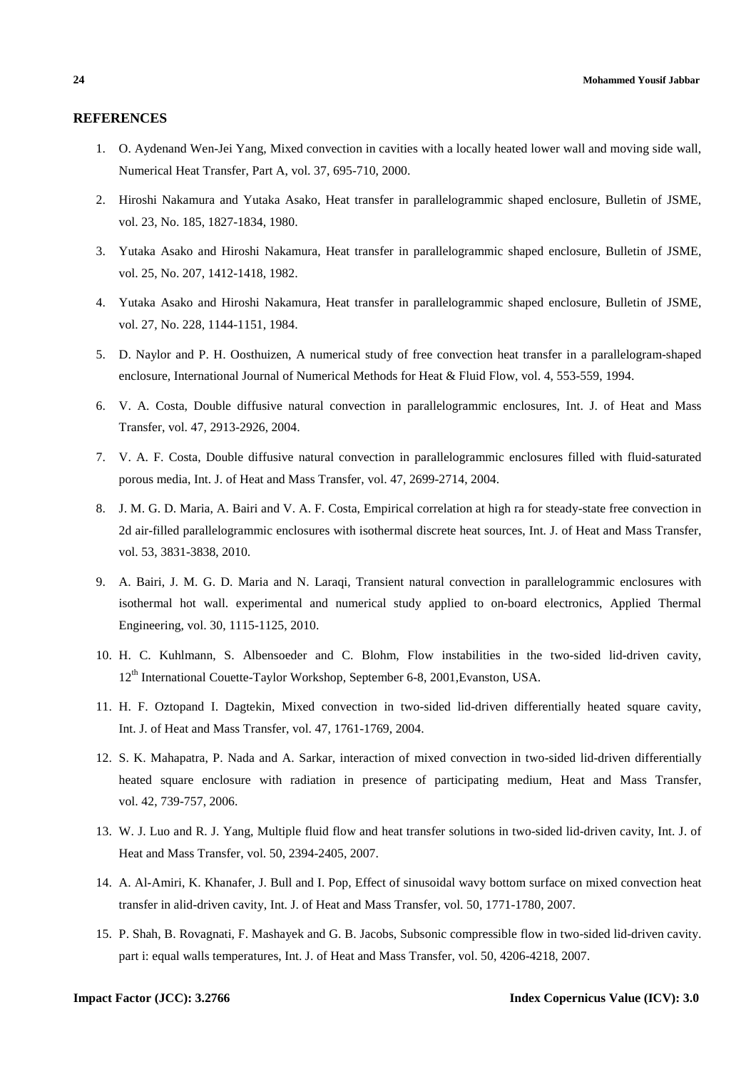## **REFERENCES**

- 1. O. Aydenand Wen-Jei Yang, Mixed convection in cavities with a locally heated lower wall and moving side wall, Numerical Heat Transfer, Part A, vol. 37, 695-710, 2000.
- 2. Hiroshi Nakamura and Yutaka Asako, Heat transfer in parallelogrammic shaped enclosure, Bulletin of JSME, vol. 23, No. 185, 1827-1834, 1980.
- 3. Yutaka Asako and Hiroshi Nakamura, Heat transfer in parallelogrammic shaped enclosure, Bulletin of JSME, vol. 25, No. 207, 1412-1418, 1982.
- 4. Yutaka Asako and Hiroshi Nakamura, Heat transfer in parallelogrammic shaped enclosure, Bulletin of JSME, vol. 27, No. 228, 1144-1151, 1984.
- 5. D. Naylor and P. H. Oosthuizen, A numerical study of free convection heat transfer in a parallelogram-shaped enclosure, International Journal of Numerical Methods for Heat & Fluid Flow, vol. 4, 553-559, 1994.
- 6. V. A. Costa, Double diffusive natural convection in parallelogrammic enclosures, Int. J. of Heat and Mass Transfer, vol. 47, 2913-2926, 2004.
- 7. V. A. F. Costa, Double diffusive natural convection in parallelogrammic enclosures filled with fluid-saturated porous media, Int. J. of Heat and Mass Transfer, vol. 47, 2699-2714, 2004.
- 8. J. M. G. D. Maria, A. Bairi and V. A. F. Costa, Empirical correlation at high ra for steady-state free convection in 2d air-filled parallelogrammic enclosures with isothermal discrete heat sources, Int. J. of Heat and Mass Transfer, vol. 53, 3831-3838, 2010.
- 9. A. Bairi, J. M. G. D. Maria and N. Laraqi, Transient natural convection in parallelogrammic enclosures with isothermal hot wall. experimental and numerical study applied to on-board electronics, Applied Thermal Engineering, vol. 30, 1115-1125, 2010.
- 10. H. C. Kuhlmann, S. Albensoeder and C. Blohm, Flow instabilities in the two-sided lid-driven cavity, 12th International Couette-Taylor Workshop, September 6-8, 2001,Evanston, USA.
- 11. H. F. Oztopand I. Dagtekin, Mixed convection in two-sided lid-driven differentially heated square cavity, Int. J. of Heat and Mass Transfer, vol. 47, 1761-1769, 2004.
- 12. S. K. Mahapatra, P. Nada and A. Sarkar, interaction of mixed convection in two-sided lid-driven differentially heated square enclosure with radiation in presence of participating medium, Heat and Mass Transfer, vol. 42, 739-757, 2006.
- 13. W. J. Luo and R. J. Yang, Multiple fluid flow and heat transfer solutions in two-sided lid-driven cavity, Int. J. of Heat and Mass Transfer, vol. 50, 2394-2405, 2007.
- 14. A. Al-Amiri, K. Khanafer, J. Bull and I. Pop, Effect of sinusoidal wavy bottom surface on mixed convection heat transfer in alid-driven cavity, Int. J. of Heat and Mass Transfer, vol. 50, 1771-1780, 2007.
- 15. P. Shah, B. Rovagnati, F. Mashayek and G. B. Jacobs, Subsonic compressible flow in two-sided lid-driven cavity. part i: equal walls temperatures, Int. J. of Heat and Mass Transfer, vol. 50, 4206-4218, 2007.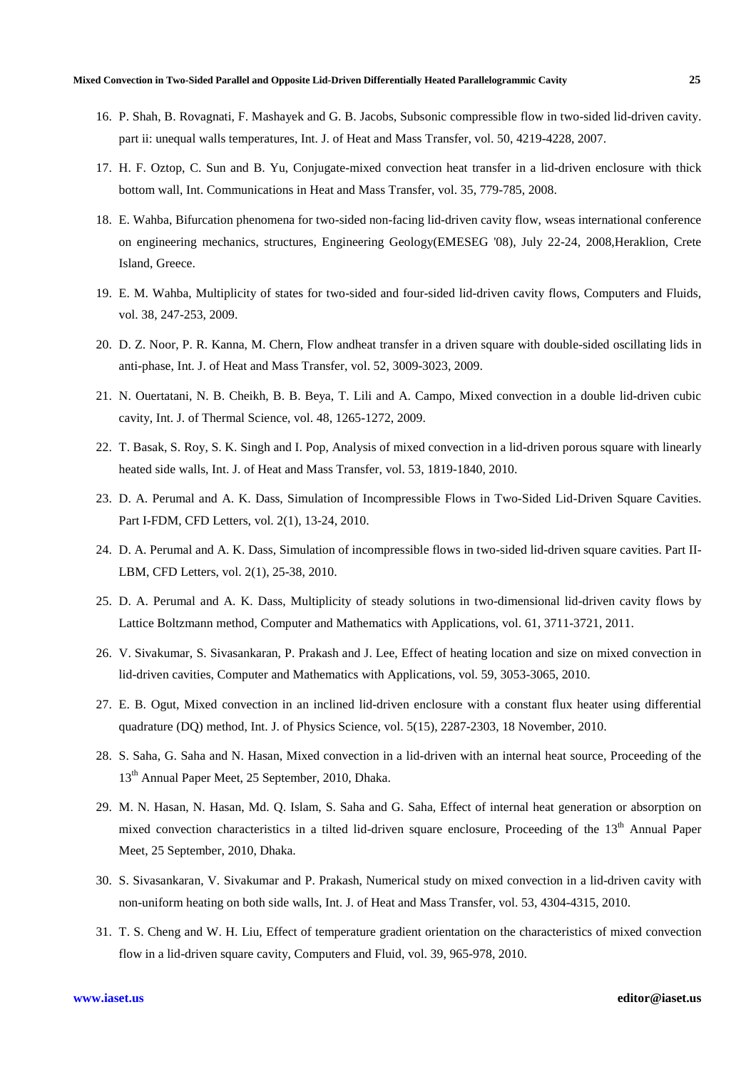- 16. P. Shah, B. Rovagnati, F. Mashayek and G. B. Jacobs, Subsonic compressible flow in two-sided lid-driven cavity. part ii: unequal walls temperatures, Int. J. of Heat and Mass Transfer, vol. 50, 4219-4228, 2007.
- 17. H. F. Oztop, C. Sun and B. Yu, Conjugate-mixed convection heat transfer in a lid-driven enclosure with thick bottom wall, Int. Communications in Heat and Mass Transfer, vol. 35, 779-785, 2008.
- 18. E. Wahba, Bifurcation phenomena for two-sided non-facing lid-driven cavity flow, wseas international conference on engineering mechanics, structures, Engineering Geology(EMESEG '08), July 22-24, 2008,Heraklion, Crete Island, Greece.
- 19. E. M. Wahba, Multiplicity of states for two-sided and four-sided lid-driven cavity flows, Computers and Fluids, vol. 38, 247-253, 2009.
- 20. D. Z. Noor, P. R. Kanna, M. Chern, Flow andheat transfer in a driven square with double-sided oscillating lids in anti-phase, Int. J. of Heat and Mass Transfer, vol. 52, 3009-3023, 2009.
- 21. N. Ouertatani, N. B. Cheikh, B. B. Beya, T. Lili and A. Campo, Mixed convection in a double lid-driven cubic cavity, Int. J. of Thermal Science, vol. 48, 1265-1272, 2009.
- 22. T. Basak, S. Roy, S. K. Singh and I. Pop, Analysis of mixed convection in a lid-driven porous square with linearly heated side walls, Int. J. of Heat and Mass Transfer, vol. 53, 1819-1840, 2010.
- 23. D. A. Perumal and A. K. Dass, Simulation of Incompressible Flows in Two-Sided Lid-Driven Square Cavities. Part I-FDM, CFD Letters, vol. 2(1), 13-24, 2010.
- 24. D. A. Perumal and A. K. Dass, Simulation of incompressible flows in two-sided lid-driven square cavities. Part II-LBM, CFD Letters, vol. 2(1), 25-38, 2010.
- 25. D. A. Perumal and A. K. Dass, Multiplicity of steady solutions in two-dimensional lid-driven cavity flows by Lattice Boltzmann method, Computer and Mathematics with Applications, vol. 61, 3711-3721, 2011.
- 26. V. Sivakumar, S. Sivasankaran, P. Prakash and J. Lee, Effect of heating location and size on mixed convection in lid-driven cavities, Computer and Mathematics with Applications, vol. 59, 3053-3065, 2010.
- 27. E. B. Ogut, Mixed convection in an inclined lid-driven enclosure with a constant flux heater using differential quadrature (DQ) method, Int. J. of Physics Science, vol. 5(15), 2287-2303, 18 November, 2010.
- 28. S. Saha, G. Saha and N. Hasan, Mixed convection in a lid-driven with an internal heat source, Proceeding of the 13th Annual Paper Meet, 25 September, 2010, Dhaka.
- 29. M. N. Hasan, N. Hasan, Md. Q. Islam, S. Saha and G. Saha, Effect of internal heat generation or absorption on mixed convection characteristics in a tilted lid-driven square enclosure, Proceeding of the 13<sup>th</sup> Annual Paper Meet, 25 September, 2010, Dhaka.
- 30. S. Sivasankaran, V. Sivakumar and P. Prakash, Numerical study on mixed convection in a lid-driven cavity with non-uniform heating on both side walls, Int. J. of Heat and Mass Transfer, vol. 53, 4304-4315, 2010.
- 31. T. S. Cheng and W. H. Liu, Effect of temperature gradient orientation on the characteristics of mixed convection flow in a lid-driven square cavity, Computers and Fluid, vol. 39, 965-978, 2010.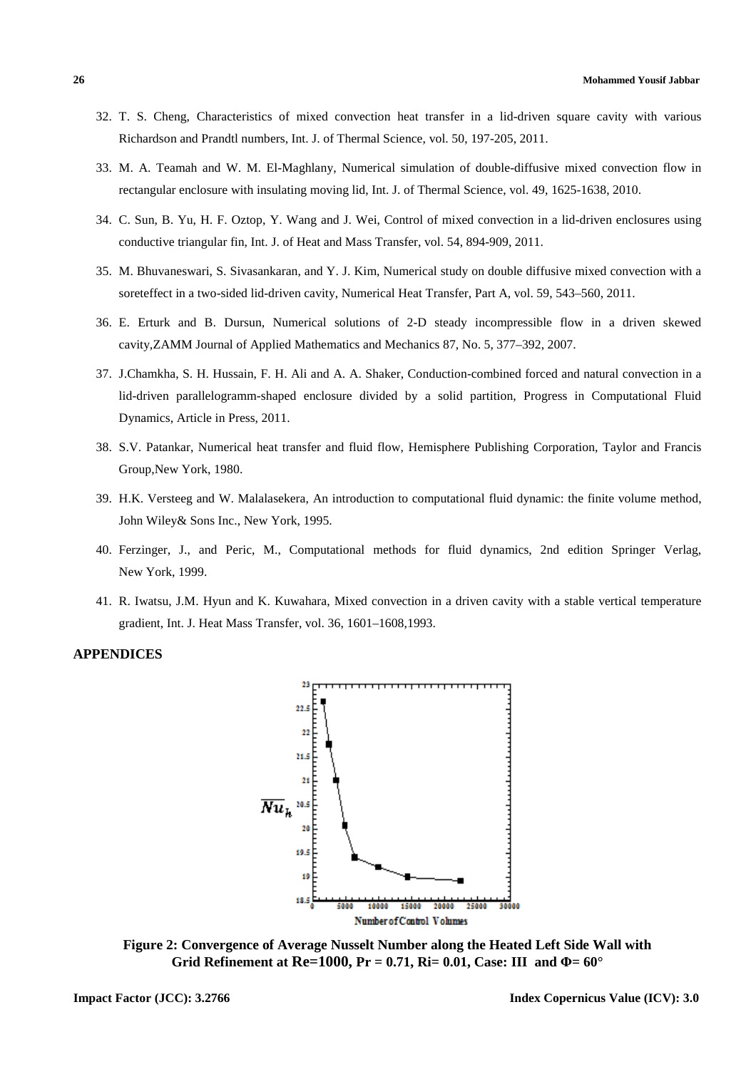- 32. T. S. Cheng, Characteristics of mixed convection heat transfer in a lid-driven square cavity with various Richardson and Prandtl numbers, Int. J. of Thermal Science, vol. 50, 197-205, 2011.
- 33. M. A. Teamah and W. M. El-Maghlany, Numerical simulation of double-diffusive mixed convection flow in rectangular enclosure with insulating moving lid, Int. J. of Thermal Science, vol. 49, 1625-1638, 2010.
- 34. C. Sun, B. Yu, H. F. Oztop, Y. Wang and J. Wei, Control of mixed convection in a lid-driven enclosures using conductive triangular fin, Int. J. of Heat and Mass Transfer, vol. 54, 894-909, 2011.
- 35. M. Bhuvaneswari, S. Sivasankaran, and Y. J. Kim, Numerical study on double diffusive mixed convection with a soreteffect in a two-sided lid-driven cavity, Numerical Heat Transfer, Part A, vol. 59, 543–560, 2011.
- 36. E. Erturk and B. Dursun, Numerical solutions of 2-D steady incompressible flow in a driven skewed cavity,ZAMM Journal of Applied Mathematics and Mechanics 87, No. 5, 377–392, 2007.
- 37. J.Chamkha, S. H. Hussain, F. H. Ali and A. A. Shaker, Conduction-combined forced and natural convection in a lid-driven parallelogramm-shaped enclosure divided by a solid partition, Progress in Computational Fluid Dynamics, Article in Press, 2011.
- 38. S.V. Patankar, Numerical heat transfer and fluid flow, Hemisphere Publishing Corporation, Taylor and Francis Group,New York, 1980.
- 39. H.K. Versteeg and W. Malalasekera, An introduction to computational fluid dynamic: the finite volume method, John Wiley& Sons Inc., New York, 1995.
- 40. Ferzinger, J., and Peric, M., Computational methods for fluid dynamics, 2nd edition Springer Verlag, New York, 1999.
- 41. R. Iwatsu, J.M. Hyun and K. Kuwahara, Mixed convection in a driven cavity with a stable vertical temperature gradient, Int. J. Heat Mass Transfer, vol. 36, 1601–1608,1993.

# **APPENDICES**



**Figure 2: Convergence of Average Nusselt Number along the Heated Left Side Wall with Grid Refinement at Re=1000, Pr = 0.71, Ri= 0.01, Case: III and Φ= 60°**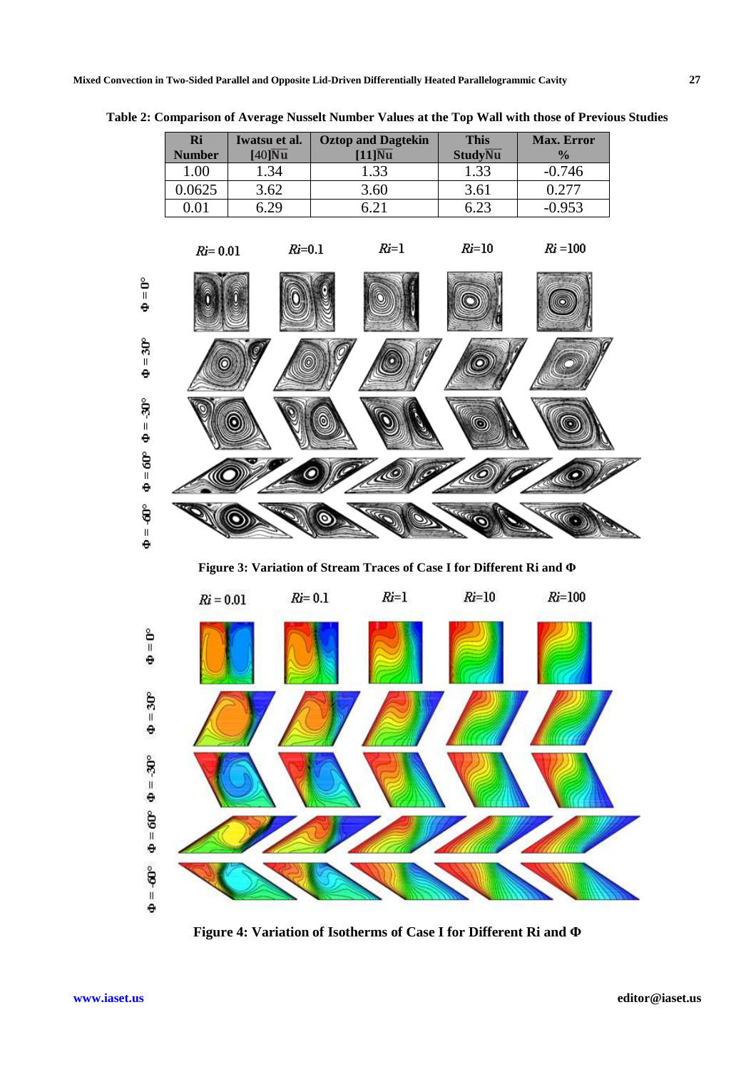|                         | Ri<br><b>Number</b> | Iwatsu et al.<br>$[40]$ Nu | <b>Oztop and Dagtekin</b><br>$[11]\overline{\text{Nu}}$                    | <b>This</b><br><b>StudyNu</b> | Max. Error<br>$\frac{1}{2}$ |  |
|-------------------------|---------------------|----------------------------|----------------------------------------------------------------------------|-------------------------------|-----------------------------|--|
|                         | 1.00                | 1.34                       | 1.33                                                                       | 1.33                          | $-0.746$                    |  |
|                         | 0.0625              | 3.62                       | 3.60                                                                       | 3.61                          | 0.277                       |  |
|                         | 0.01                | 6.29                       | 6.21                                                                       | 6.23                          | $-0.953$                    |  |
|                         | $Ri = 0.01$         | $Ri=0.1$                   | $Ri=1$                                                                     | $Ri=10$                       | $Ri = 100$                  |  |
| გ<br>მ                  |                     |                            |                                                                            |                               |                             |  |
| $=30^{\circ}$<br>e      |                     |                            |                                                                            |                               |                             |  |
| ទុ<br>$\sf II$<br>e     |                     |                            |                                                                            |                               |                             |  |
| $=60^{\circ}$<br>e      |                     |                            | <b>L</b>                                                                   |                               |                             |  |
| ື່ອື<br>e               |                     |                            |                                                                            | <b>RACC</b>                   |                             |  |
|                         |                     |                            | Figure 3: Variation of Stream Traces of Case I for Different Ri and $\Phi$ |                               |                             |  |
|                         | $Ri = 0.01$         | $Ri = 0.1$                 | $Ri=1$                                                                     | $Ri=10$                       | $Ri=100$                    |  |
| $= 0^\circ$<br>٠        |                     |                            |                                                                            |                               |                             |  |
| ê<br>$\frac{3}{2}$<br>٠ |                     |                            |                                                                            |                               |                             |  |
| $=30^{\circ}$<br>e      |                     |                            |                                                                            |                               |                             |  |
| $=60^{\circ}$<br>٠      |                     |                            |                                                                            |                               |                             |  |
| $= 60^{\circ}$<br>٠     |                     |                            |                                                                            |                               |                             |  |

**Table 2: Comparison of Average Nusselt Number Values at the Top Wall with those of Previous Studies** 

**Figure 4: Variation of Isotherms of Case I for Different Ri and Φ**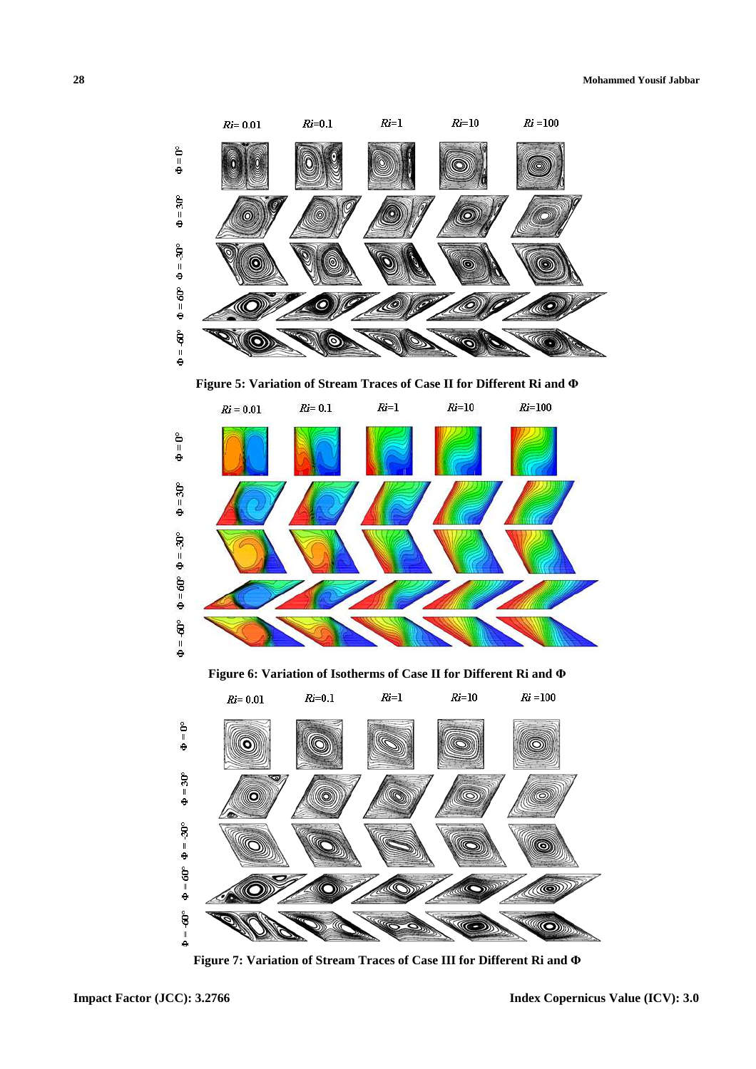

**Figure 5: Variation of Stream Traces of Case II for Different Ri and Φ**



**Figure 6: Variation of Isotherms of Case II for Different Ri and Φ**



**Figure 7: Variation of Stream Traces of Case III for Different Ri and Φ**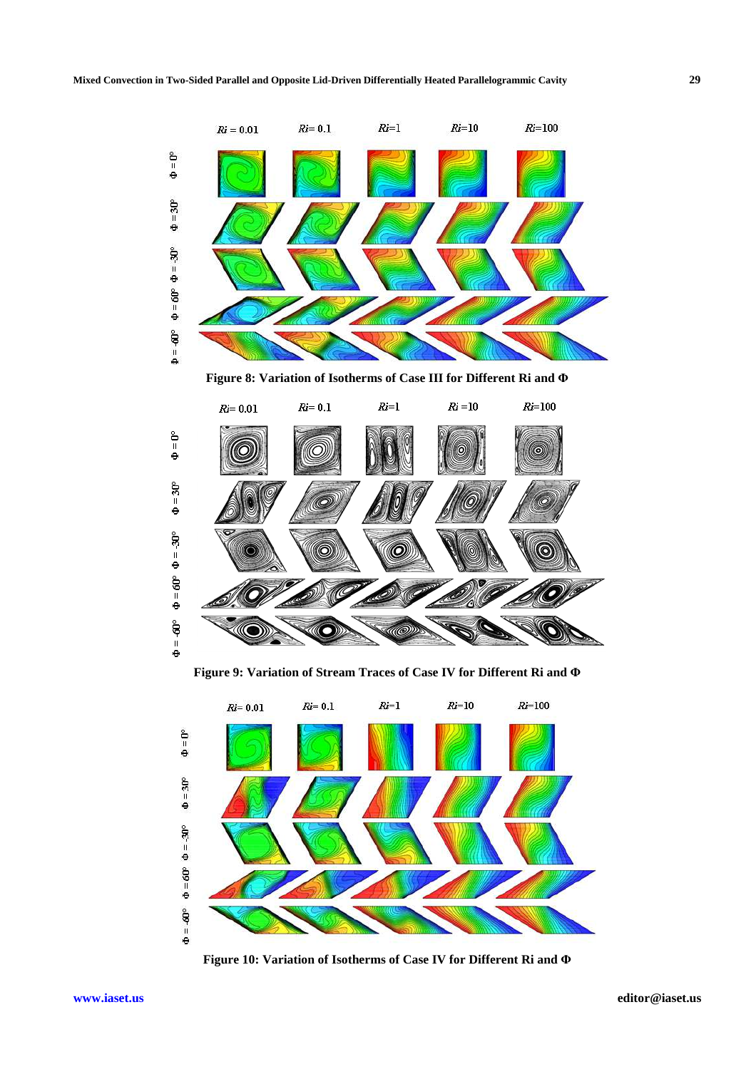

**Figure 8: Variation of Isotherms of Case III for Different Ri and Φ**



**Figure 9: Variation of Stream Traces of Case IV for Different Ri and Φ**



**Figure 10: Variation of Isotherms of Case IV for Different Ri and Φ**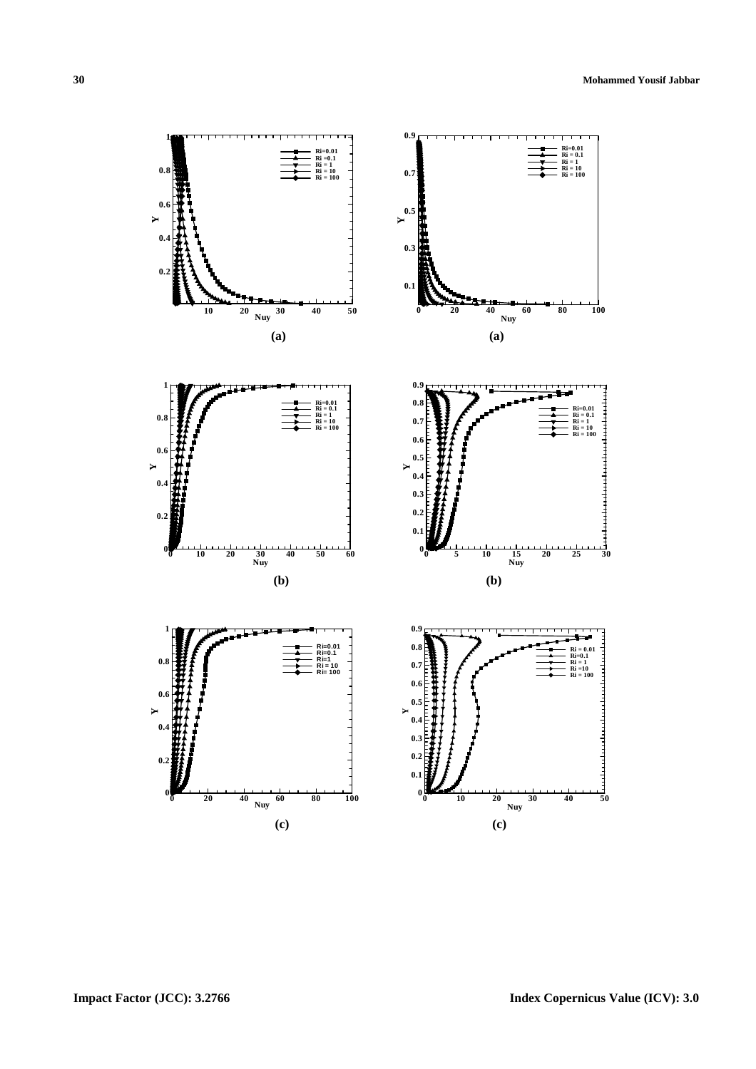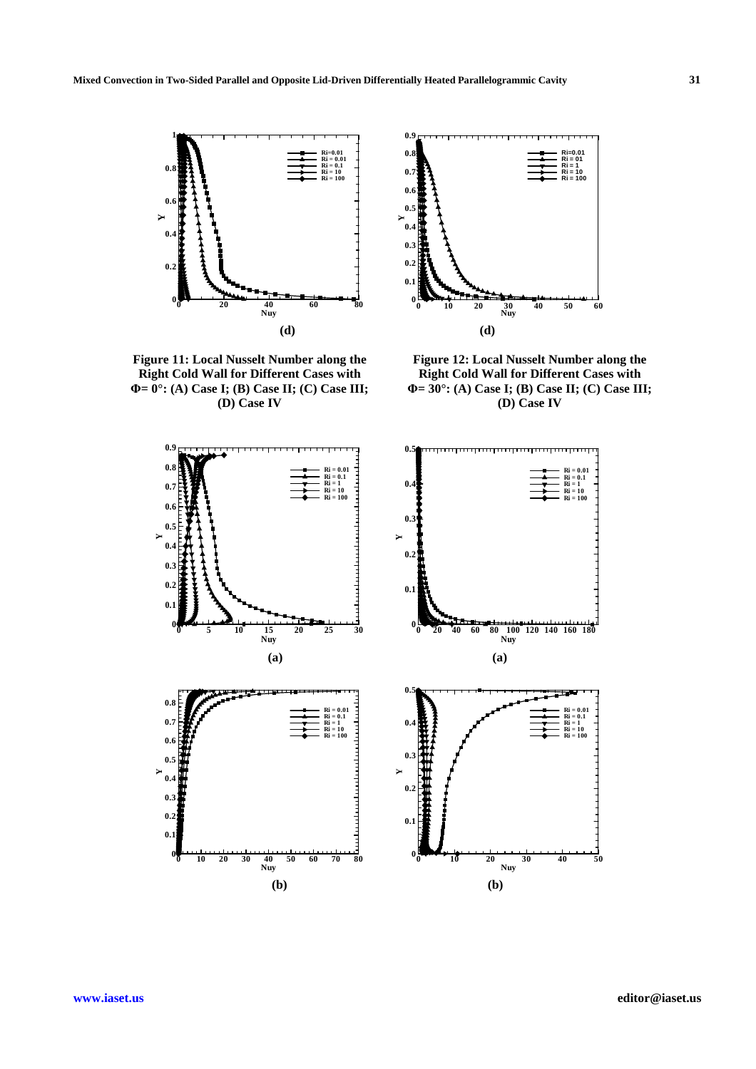

**Figure 11: Local Nusselt Number along the Right Cold Wall for Different Cases with Φ= 0°: (A) Case I; (B) Case II; (C) Case III; (D) Case IV** 



**Figure 12: Local Nusselt Number along the Right Cold Wall for Different Cases with Φ= 30°: (A) Case I; (B) Case II; (C) Case III; (D) Case IV** 

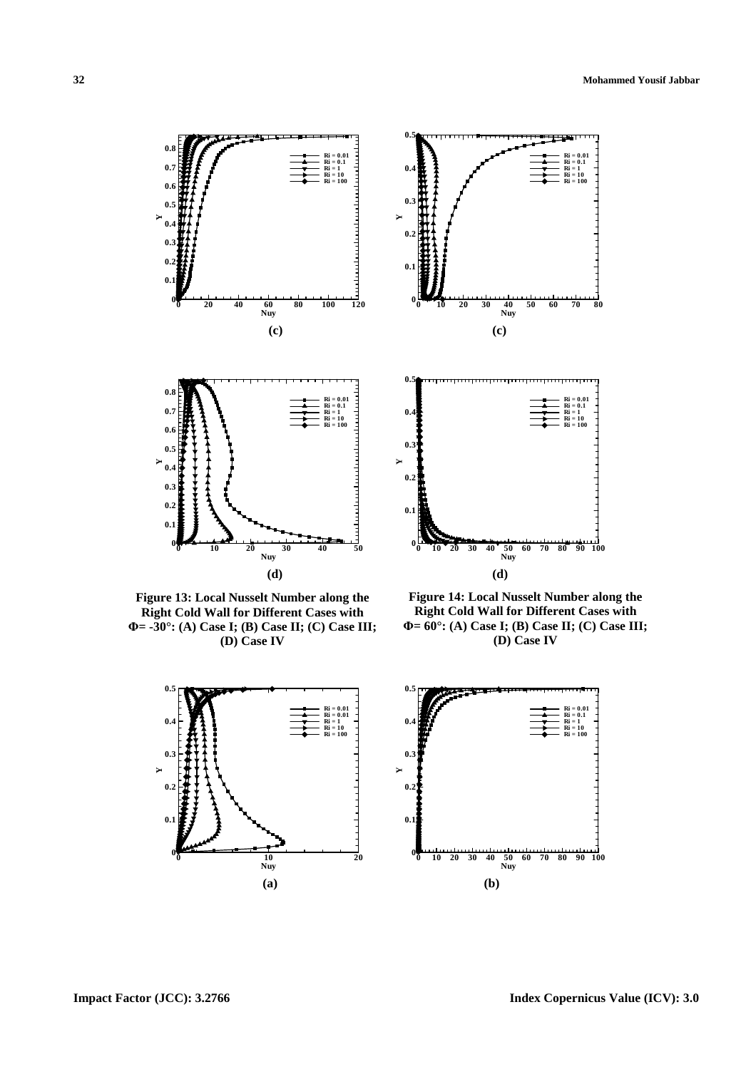

**Figure 13: Local Nusselt Number along the Right Cold Wall for Different Cases with Φ= -30°: (A) Case I; (B) Case II; (C) Case III; (D) Case IV** 



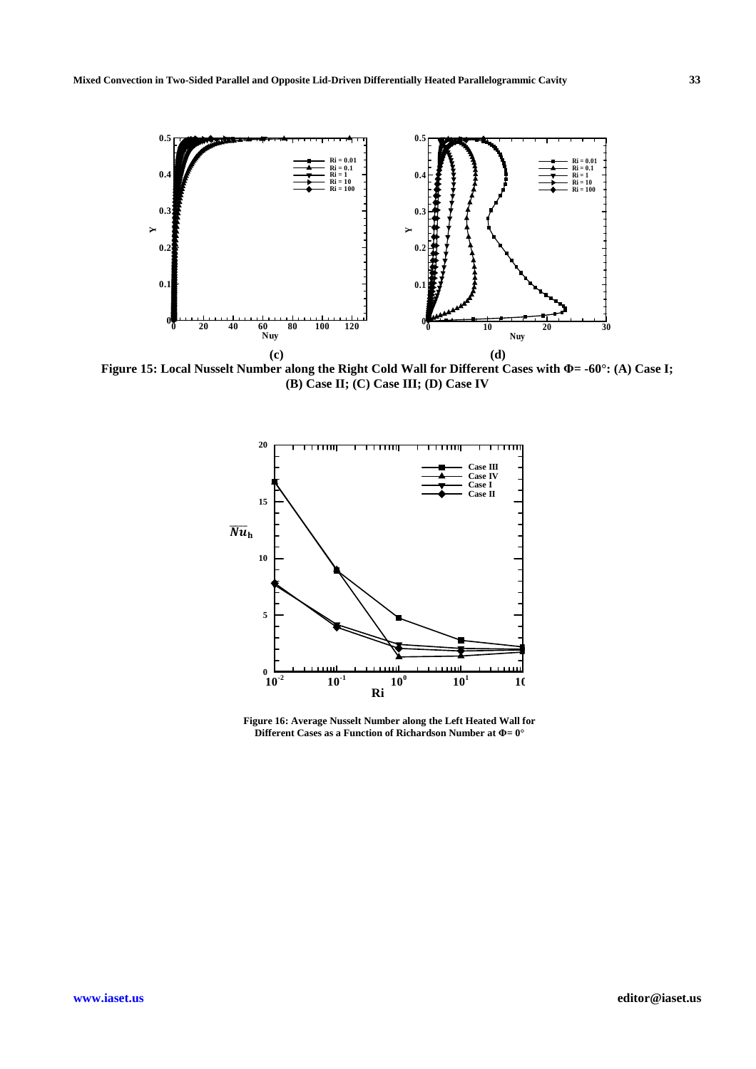

**Figure 15: Local Nusselt Number along the Right Cold Wall for Different Cases with Φ= -60°: (A) Case I; (B) Case II; (C) Case III; (D) Case IV** 



**Figure 16: Average Nusselt Number along the Left Heated Wall for Different Cases as a Function of Richardson Number at Φ= 0°**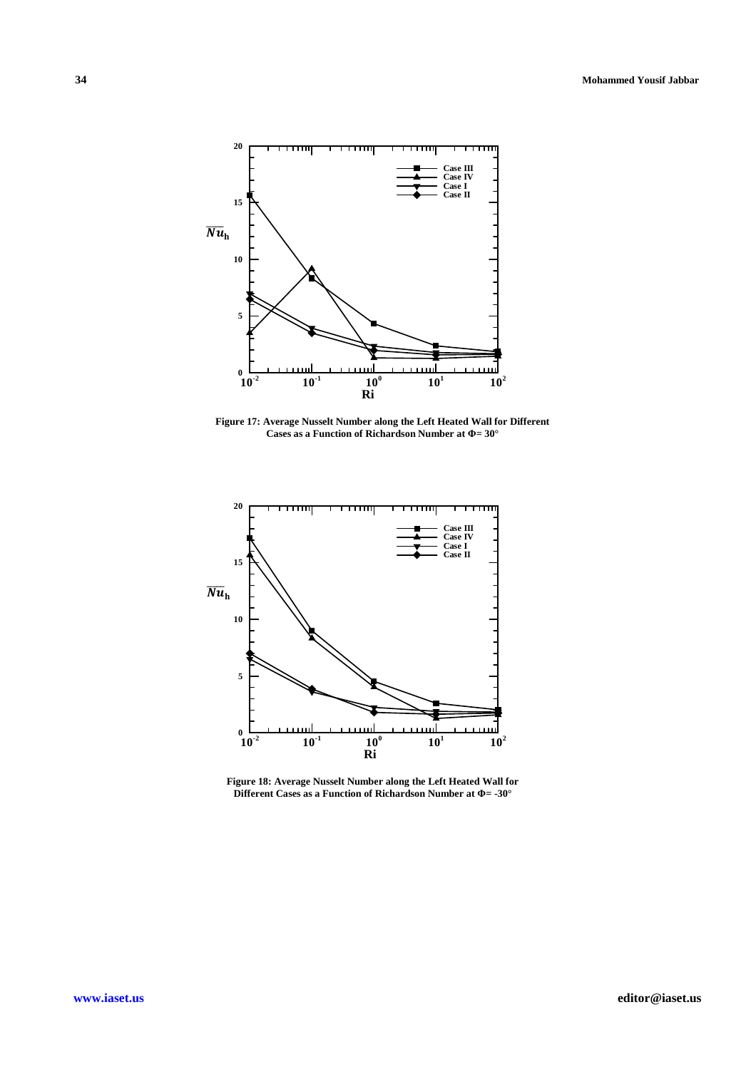

**Figure 17: Average Nusselt Number along the Left Heated Wall for Different Cases as a Function of Richardson Number at Φ= 30°** 



**Figure 18: Average Nusselt Number along the Left Heated Wall for Different Cases as a Function of Richardson Number at Φ= -30°**